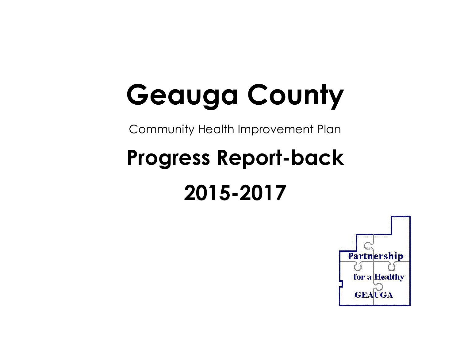# **Geauga County**

Community Health Improvement Plan

## **Progress Report-back 2015-2017**

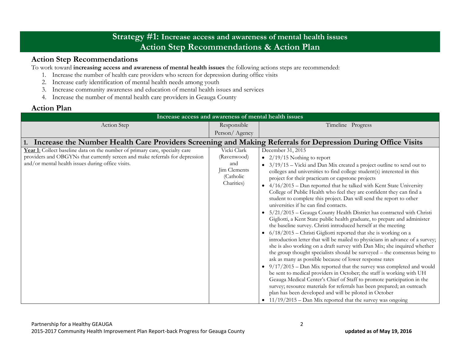## **Strategy #1: Increase access and awareness of mental health issues Action Step Recommendations & Action Plan**

## **Action Step Recommendations**

To work toward **increasing access and awareness of mental health issues** the following actions steps are recommended:

- 1. Increase the number of health care providers who screen for depression during office visits
- 2. Increase early identification of mental health needs among youth
- 3. Increase community awareness and education of mental health issues and services
- 4. Increase the number of mental health care providers in Geauga County

## **Action Plan**

| Increase access and awareness of mental health issues                                                                                                                                                            |                                                                              |                                                                                                                                                                                                                                                                                                                                                                                                                                                                                                                                                                                                                                                                                                                                                                                                                                                                                                                                                                                                                                                                                                                                                                                                                                                                                                                                                                                                                                                                                                                                                                             |  |
|------------------------------------------------------------------------------------------------------------------------------------------------------------------------------------------------------------------|------------------------------------------------------------------------------|-----------------------------------------------------------------------------------------------------------------------------------------------------------------------------------------------------------------------------------------------------------------------------------------------------------------------------------------------------------------------------------------------------------------------------------------------------------------------------------------------------------------------------------------------------------------------------------------------------------------------------------------------------------------------------------------------------------------------------------------------------------------------------------------------------------------------------------------------------------------------------------------------------------------------------------------------------------------------------------------------------------------------------------------------------------------------------------------------------------------------------------------------------------------------------------------------------------------------------------------------------------------------------------------------------------------------------------------------------------------------------------------------------------------------------------------------------------------------------------------------------------------------------------------------------------------------------|--|
| Action Step                                                                                                                                                                                                      | Responsible                                                                  | Timeline Progress                                                                                                                                                                                                                                                                                                                                                                                                                                                                                                                                                                                                                                                                                                                                                                                                                                                                                                                                                                                                                                                                                                                                                                                                                                                                                                                                                                                                                                                                                                                                                           |  |
|                                                                                                                                                                                                                  | Person/Agency                                                                |                                                                                                                                                                                                                                                                                                                                                                                                                                                                                                                                                                                                                                                                                                                                                                                                                                                                                                                                                                                                                                                                                                                                                                                                                                                                                                                                                                                                                                                                                                                                                                             |  |
| Increase the Number Health Care Providers Screening and Making Referrals for Depression During Office Visits                                                                                                     |                                                                              |                                                                                                                                                                                                                                                                                                                                                                                                                                                                                                                                                                                                                                                                                                                                                                                                                                                                                                                                                                                                                                                                                                                                                                                                                                                                                                                                                                                                                                                                                                                                                                             |  |
| Year 1: Collect baseline data on the number of primary care, specialty care<br>providers and OBGYNs that currently screen and make referrals for depression<br>and/or mental health issues during office visits. | Vicki Clark<br>(Ravenwood)<br>and<br>Jim Clements<br>(Catholic<br>Charities) | December 31, 2015<br>• $2/19/15$ Nothing to report<br>$3/19/15$ – Vicki and Dan Mix created a project outline to send out to<br>$\bullet$<br>colleges and universities to find college student(s) interested in this<br>project for their practicum or capstone projects<br>4/16/2015 - Dan reported that he talked with Kent State University<br>College of Public Health who feel they are confident they can find a<br>student to complete this project. Dan will send the report to other<br>universities if he can find contacts.<br>5/21/2015 - Geauga County Health District has contracted with Christi<br>Gigliotti, a Kent State public health graduate, to prepare and administer<br>the baseline survey. Christi introduced herself at the meeting<br>$6/18/2015$ – Christi Gigliotti reported that she is working on a<br>introduction letter that will be mailed to physicians in advance of a survey;<br>she is also working on a draft survey with Dan Mix; she inquired whether<br>the group thought specialists should be surveyed - the consensus being to<br>ask as many as possible because of lower response rates<br>$9/17/2015$ – Dan Mix reported that the survey was completed and would<br>be sent to medical providers in October; the staff is working with UH<br>Geauga Medical Center's Chief of Staff to promote participation in the<br>survey; resource materials for referrals has been prepared; an outreach<br>plan has been developed and will be piloted in October<br>• $11/19/2015$ – Dan Mix reported that the survey was ongoing |  |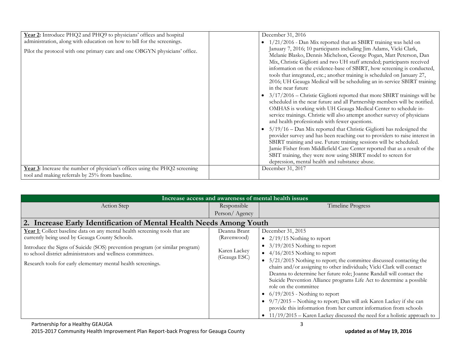|                                                                                                                                                                                                                              | December 31, 2016                                                                                                                                                                                                                                                                                                                                                                                                                                                                                                                                                                                                                                                                                                                                                              |
|------------------------------------------------------------------------------------------------------------------------------------------------------------------------------------------------------------------------------|--------------------------------------------------------------------------------------------------------------------------------------------------------------------------------------------------------------------------------------------------------------------------------------------------------------------------------------------------------------------------------------------------------------------------------------------------------------------------------------------------------------------------------------------------------------------------------------------------------------------------------------------------------------------------------------------------------------------------------------------------------------------------------|
| Year 2: Introduce PHQ2 and PHQ9 to physicians' offices and hospital<br>administration, along with education on how to bill for the screenings.<br>Pilot the protocol with one primary care and one OBGYN physicians' office. | 1/21/2016 - Dan Mix reported that an SBIRT training was held on<br>January 7, 2016; 10 participants including Jim Adams, Vicki Clark,<br>Melanie Blasko, Dennis Michelson, George Pogan, Matt Peterson, Dan<br>Mix, Christie Gigliotti and two UH staff attended; participants received<br>information on the evidence-base of SBIRT, how screening is conducted,<br>tools that integrated, etc.; another training is scheduled on January 27,<br>2016; UH Geauga Medical will be scheduling an in-service SBIRT training<br>in the near future<br>$3/17/2016$ – Christie Gigliotti reported that more SBIRT trainings will be<br>scheduled in the near future and all Partnership members will be notified.<br>OMHAS is working with UH Geauga Medical Center to schedule in- |
| Year 3: Increase the number of physician's offices using the PHQ2 screening                                                                                                                                                  | service trainings. Christie will also attempt another survey of physicians<br>and health professionals with fewer questions.<br>$5/19/16$ – Dan Mix reported that Christie Gigliotti has redesigned the<br>provider survey and has been reaching out to providers to raise interest in<br>SBIRT training and use. Future training sessions will be scheduled.<br>Jamie Fisher from Middlefield Care Center reported that as a result of the<br>SBIT training, they were now using SBIRT model to screen for<br>depression, mental health and substance abuse.<br>December 31, 2017                                                                                                                                                                                             |
| tool and making referrals by 25% from baseline.                                                                                                                                                                              |                                                                                                                                                                                                                                                                                                                                                                                                                                                                                                                                                                                                                                                                                                                                                                                |

| Increase access and awareness of mental health issues                                                                                                                                                                                                                                                                                        |                                                             |                                                                                                                                                                                                                                                                                                                                                                                                                                                                                                                                                                                                                                                                                                                                              |
|----------------------------------------------------------------------------------------------------------------------------------------------------------------------------------------------------------------------------------------------------------------------------------------------------------------------------------------------|-------------------------------------------------------------|----------------------------------------------------------------------------------------------------------------------------------------------------------------------------------------------------------------------------------------------------------------------------------------------------------------------------------------------------------------------------------------------------------------------------------------------------------------------------------------------------------------------------------------------------------------------------------------------------------------------------------------------------------------------------------------------------------------------------------------------|
| Action Step                                                                                                                                                                                                                                                                                                                                  | Responsible                                                 | Timeline Progress                                                                                                                                                                                                                                                                                                                                                                                                                                                                                                                                                                                                                                                                                                                            |
|                                                                                                                                                                                                                                                                                                                                              | Person/Agency                                               |                                                                                                                                                                                                                                                                                                                                                                                                                                                                                                                                                                                                                                                                                                                                              |
| 2. Increase Early Identification of Mental Health Needs Among Youth                                                                                                                                                                                                                                                                          |                                                             |                                                                                                                                                                                                                                                                                                                                                                                                                                                                                                                                                                                                                                                                                                                                              |
| Year 1: Collect baseline data on any mental health screening tools that are<br>currently being used by Geauga County Schools.<br>Introduce the Signs of Suicide (SOS) prevention program (or similar program)<br>to school district administrators and wellness committees.<br>Research tools for early elementary mental health screenings. | Deanna Brant<br>(Ravenwood)<br>Karen Lackey<br>(Geauga ESC) | December 31, 2015<br>$\bullet$ 2/19/15 Nothing to report<br>• $3/19/2015$ Nothing to report<br>$\bullet$ 4/16/2015 Nothing to report<br>5/21/2015 Nothing to report; the committee discussed contacting the<br>chairs and/or assigning to other individuals; Vicki Clark will contact<br>Deanna to determine her future role; Joanne Randall will contact the<br>Suicide Prevention Alliance programs Life Act to determine a possible<br>role on the committee<br>$6/19/2015$ - Nothing to report<br>$\bullet$<br>• $9/7/2015$ – Nothing to report; Dan will ask Karen Lackey if she can<br>provide this information from her current information from schools<br>$11/19/2015$ – Karen Lackey discussed the need for a holistic approach to |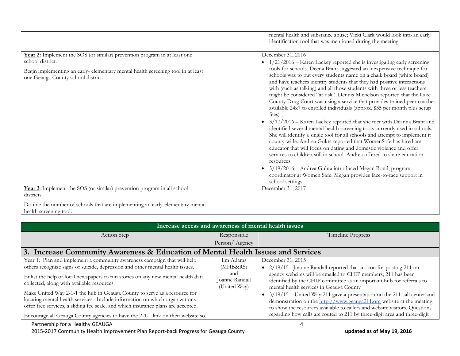|                                                                                                                                                                                                                        | mental health and substance abuse; Vicki Clark would look into an early<br>identification tool that was mentioned during the meeting                                                                                                                                                                                                                                                                                                                                                                                                                                                                                                                                                                                                                                                                                                                                                                                                                                                                                                                                                                                                                                                                                                                                           |
|------------------------------------------------------------------------------------------------------------------------------------------------------------------------------------------------------------------------|--------------------------------------------------------------------------------------------------------------------------------------------------------------------------------------------------------------------------------------------------------------------------------------------------------------------------------------------------------------------------------------------------------------------------------------------------------------------------------------------------------------------------------------------------------------------------------------------------------------------------------------------------------------------------------------------------------------------------------------------------------------------------------------------------------------------------------------------------------------------------------------------------------------------------------------------------------------------------------------------------------------------------------------------------------------------------------------------------------------------------------------------------------------------------------------------------------------------------------------------------------------------------------|
| Year 2: Implement the SOS (or similar) prevention program in at least one<br>school district.<br>Begin implementing an early-elementary mental health screening tool in at least<br>one Geauga County school district. | December 31, 2016<br>$1/21/2016$ – Karen Lackey reported she is investigating early screening<br>tools for schools. Deena Brant suggested an inexpensive technique for<br>schools was to put every students name on a chalk board (white board)<br>and have teachers identify students that they had positive interactions<br>with (such as talking) and all those students with three or less teachers<br>might be considered "at risk." Dennis Michelson reported that the Lake<br>County Drug Court was using a service that provides trained peer coaches<br>available 24x7 to enrolled individuals (approx. \$35 per month plus setup<br>fees)<br>3/17/2016 - Karen Lackey reported that she met with Deanna Brant and<br>identified several mental health screening tools currently used in schools.<br>She will identify a single tool for all schools and attempt to implement it<br>county-wide. Andrea Gukta reported that WomenSafe has hired am<br>educator that will focus on dating and domestic violence and offer<br>services to children still in school. Andrea offered to share education<br>resources.<br>5/19/2016 - Andrea Guhta introduced Megan Bond, program<br>coordinator at Women Safe. Megan provides face-to-face support in<br>school settings. |
| Year 3: Implement the SOS (or similar) prevention program in all school<br>districts                                                                                                                                   | December 31, 2017                                                                                                                                                                                                                                                                                                                                                                                                                                                                                                                                                                                                                                                                                                                                                                                                                                                                                                                                                                                                                                                                                                                                                                                                                                                              |
| Double the number of schools that are implementing an early-elementary mental<br>health screening tool.                                                                                                                |                                                                                                                                                                                                                                                                                                                                                                                                                                                                                                                                                                                                                                                                                                                                                                                                                                                                                                                                                                                                                                                                                                                                                                                                                                                                                |

| Increase access and awareness of mental health issues                                                                                                                                                                                                                                                                                                                                                                                                                                                                                                                                                                           |                                                                |                                                                                                                                                                                                                                                                                                                                                                                                                                                                                                                                                                                                   |  |
|---------------------------------------------------------------------------------------------------------------------------------------------------------------------------------------------------------------------------------------------------------------------------------------------------------------------------------------------------------------------------------------------------------------------------------------------------------------------------------------------------------------------------------------------------------------------------------------------------------------------------------|----------------------------------------------------------------|---------------------------------------------------------------------------------------------------------------------------------------------------------------------------------------------------------------------------------------------------------------------------------------------------------------------------------------------------------------------------------------------------------------------------------------------------------------------------------------------------------------------------------------------------------------------------------------------------|--|
| Action Step                                                                                                                                                                                                                                                                                                                                                                                                                                                                                                                                                                                                                     | Responsible                                                    | Timeline Progress                                                                                                                                                                                                                                                                                                                                                                                                                                                                                                                                                                                 |  |
|                                                                                                                                                                                                                                                                                                                                                                                                                                                                                                                                                                                                                                 | Person/Agency                                                  |                                                                                                                                                                                                                                                                                                                                                                                                                                                                                                                                                                                                   |  |
| 3. Increase Community Awareness & Education of Mental Health Issues and Services                                                                                                                                                                                                                                                                                                                                                                                                                                                                                                                                                |                                                                |                                                                                                                                                                                                                                                                                                                                                                                                                                                                                                                                                                                                   |  |
| Year 1: Plan and implement a community awareness campaign that will help<br>others recognize signs of suicide, depression and other mental health issues.<br>Enlist the help of local newspapers to run stories on any new mental health data<br>collected, along with available resources.<br>Make United Way 2-1-1 the hub in Geauga County to serve as a resource for<br>locating mental health services. Include information on which organizations<br>offer free services, a sliding fee scale, and which insurance plans are accepted.<br>Encourage all Geauga County agencies to have the 2-1-1 link on their website so | Jim Adams<br>(MHB&RS)<br>and<br>Joanne Randall<br>(United Way) | December 31, 2015<br>• $2/19/15$ - Joanne Randall reported that an icon for posting 211 on<br>agency websites will be emailed to CHIP members; 211 has been<br>identified by the CHIP committee as an important hub for referrals to<br>mental health services in Geauga County<br>• $3/19/15$ – United Way 211 gave a presentation on the 211 call center and<br>demonstration on the http://www.geauga211.org website at the meeting<br>to show the resources available to callers and website visitors. Questions<br>regarding how calls are routed to 211 by three-digit area and three-digit |  |
| Partnership for a Healthy GEAUGA                                                                                                                                                                                                                                                                                                                                                                                                                                                                                                                                                                                                |                                                                |                                                                                                                                                                                                                                                                                                                                                                                                                                                                                                                                                                                                   |  |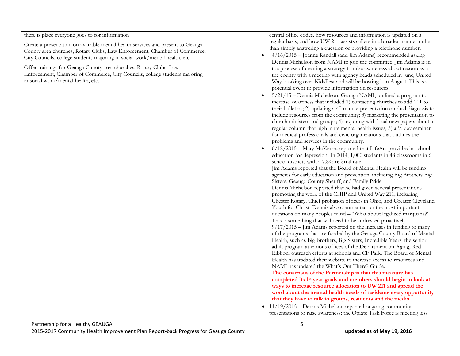there is place everyone goes to for information

Create a presentation on available mental health services and present to Geauga County area churches, Rotary Clubs, Law Enforcement, Chamber of Commerce, City Councils, college students majoring in social work/mental health, etc.

Offer trainings for Geauga County area churches, Rotary Clubs, Law Enforcement, Chamber of Commerce, City Councils, college students majoring in social work/mental health, etc.

central office codes, how resources and information is updated on a regular basis, and how UW 211 assists callers in a broader manner rather than simply answering a question or providing a telephone number.

- 4/16/2015 Joanne Randall (and Jim Adams) recommended asking Dennis Michelson from NAMI to join the committee; Jim Adams is in the process of creating a strategy to raise awareness about resources in the county with a meeting with agency heads scheduled in June; United Way is taking over KidsFest and will be hosting it in August. This is a potential event to provide information on resources
- 5/21/15 Dennis Michelson, Geauga NAMI, outlined a program to increase awareness that included 1) contacting churches to add 211 to their bulletins; 2) updating a 40 minute presentation on dual diagnosis to include resources from the community; 3) marketing the presentation to church ministers and groups; 4) inquiring with local newspapers about a regular column that highlights mental health issues; 5) a  $\frac{1}{2}$  day seminar for medical professionals and civic organizations that outlines the problems and services in the community.

| $6/18/2015$ – Mary McKenna reported that LifeAct provides in-school          |
|------------------------------------------------------------------------------|
| education for depression; In 2014, 1,000 students in 48 classrooms in 6      |
| school districts with a 7.8% referral rate.                                  |
| Jim Adams reported that the Board of Mental Health will be funding           |
| agencies for early education and prevention, including Big Brothers Big      |
| Sisters, Geauga County Sheriff, and Family Pride.                            |
| Dennis Michelson reported that he had given several presentations            |
| promoting the work of the CHIP and United Way 211, including                 |
| Chester Rotary, Chief probation officers in Ohio, and Greater Cleveland      |
| Youth for Christ. Dennis also commented on the most important                |
| questions on many peoples mind - "What about legalized marijuana?"           |
| This is something that will need to be addressed proactively.                |
| $9/17/2015$ – Jim Adams reported on the increases in funding to many         |
| of the programs that are funded by the Geauga County Board of Mental         |
| Health, such as Big Brothers, Big Sisters, Incredible Years, the senior      |
| adult program at various offices of the Department on Aging, Red             |
| Ribbon, outreach efforts at schools and CF Park. The Board of Mental         |
| Health has updated their website to increase access to resources and         |
| NAMI has updated the What's Out There? Guide.                                |
| The consensus of the Partnership is that this measure has                    |
| completed its 1 <sup>st</sup> year goals and members should begin to look at |
| ways to increase resource allocation to UW 211 and spread the                |
| word about the mental health needs of residents every opportunity            |
| that they have to talk to groups, residents and the media                    |

 $\bullet$  11/19/2015 – Dennis Michelson reported ongoing community presentations to raise awareness; the Opiate Task Force is meeting less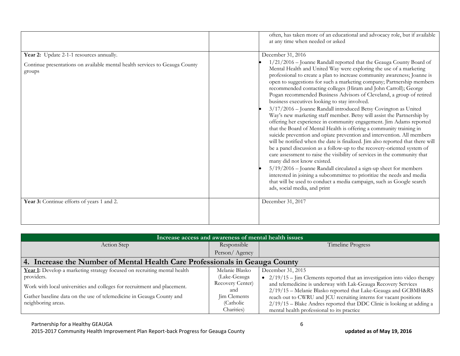|                                                                                       | often, has taken more of an educational and advocacy role, but if available<br>at any time when needed or asked                                                                                                                                                                                                                                                                                                                                                                                                                                                                                                                                                                                                                                                                                                                                                                                                                                                                                                                                                                                                                                                                                                                                                                                                                                                                                 |
|---------------------------------------------------------------------------------------|-------------------------------------------------------------------------------------------------------------------------------------------------------------------------------------------------------------------------------------------------------------------------------------------------------------------------------------------------------------------------------------------------------------------------------------------------------------------------------------------------------------------------------------------------------------------------------------------------------------------------------------------------------------------------------------------------------------------------------------------------------------------------------------------------------------------------------------------------------------------------------------------------------------------------------------------------------------------------------------------------------------------------------------------------------------------------------------------------------------------------------------------------------------------------------------------------------------------------------------------------------------------------------------------------------------------------------------------------------------------------------------------------|
| Year 2: Update 2-1-1 resources annually.                                              | December 31, 2016                                                                                                                                                                                                                                                                                                                                                                                                                                                                                                                                                                                                                                                                                                                                                                                                                                                                                                                                                                                                                                                                                                                                                                                                                                                                                                                                                                               |
| Continue presentations on available mental health services to Geauga County<br>groups | 1/21/2016 - Joanne Randall reported that the Geauga County Board of<br>Mental Health and United Way were exploring the use of a marketing<br>professional to create a plan to increase community awareness; Joanne is<br>open to suggestions for such a marketing company; Partnership members<br>recommended contacting colleges (Hiram and John Carroll); George<br>Pogan recommended Business Advisors of Cleveland, a group of retired<br>business executives looking to stay involved.<br>3/17/2016 - Joanne Randall introduced Betsy Covington as United<br>Way's new marketing staff member. Betsy will assist the Partnership by<br>offering her experience in community engagement. Jim Adams reported<br>that the Board of Mental Health is offering a community training in<br>suicide prevention and opiate prevention and intervention. All members<br>will be notified when the date is finalized. Jim also reported that there will<br>be a panel discussion as a follow-up to the recovery-oriented system of<br>care assessment to raise the visibility of services in the community that<br>many did not know existed.<br>5/19/2016 - Joanne Randall circulated a sign-up sheet for members<br>interested in joining a subcommittee to prioritize the needs and media<br>that will be used to conduct a media campaign, such as Google search<br>ads, social media, and print |
| Year 3: Continue efforts of years 1 and 2.                                            | December 31, 2017                                                                                                                                                                                                                                                                                                                                                                                                                                                                                                                                                                                                                                                                                                                                                                                                                                                                                                                                                                                                                                                                                                                                                                                                                                                                                                                                                                               |
|                                                                                       |                                                                                                                                                                                                                                                                                                                                                                                                                                                                                                                                                                                                                                                                                                                                                                                                                                                                                                                                                                                                                                                                                                                                                                                                                                                                                                                                                                                                 |

| Increase access and awareness of mental health issues                       |                  |                                                                              |  |
|-----------------------------------------------------------------------------|------------------|------------------------------------------------------------------------------|--|
| Action Step                                                                 | Responsible      | Timeline Progress                                                            |  |
|                                                                             | Person/Agency    |                                                                              |  |
| 4. Increase the Number of Mental Health Care Professionals in Geauga County |                  |                                                                              |  |
| Year 1: Develop a marketing strategy focused on recruiting mental health    | Melanie Blasko   | December 31, 2015                                                            |  |
| providers.                                                                  | (Lake-Geauga     | • $2/19/15$ – Jim Clements reported that an investigation into video therapy |  |
| Work with local universities and colleges for recruitment and placement.    | Recovery Center) | and telemedicine is underway with Lak-Geauga Recovery Services               |  |
|                                                                             | and              | 2/19/15 - Melanie Blasko reported that Lake-Geauga and GCBMH&RS              |  |
| Gather baseline data on the use of telemedicine in Geauga County and        | Jim Clements     | reach out to CWRU and JCU recruiting interns for vacant positions            |  |
| neighboring areas.                                                          | (Catholic)       | $2/19/15$ – Blake Andres reported that DDC Clinic is looking at adding a     |  |
|                                                                             | Charities)       | mental health professional to its practice                                   |  |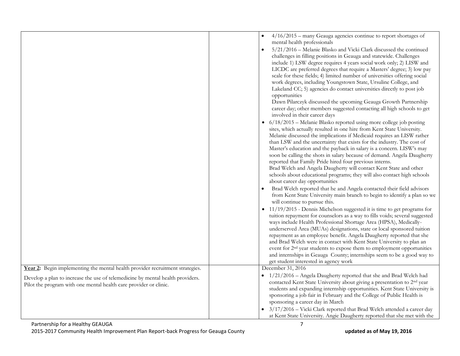|                                                                                                                                                     | $4/16/2015$ – many Geauga agencies continue to report shortages of<br>mental health professionals<br>5/21/2016 - Melanie Blasko and Vicki Clark discussed the continued<br>challenges in filling positions in Geauga and statewide. Challenges<br>include 1) LSW degree requires 4 years social work only; 2) LISW and<br>LICDC are preferred degrees that require a Masters' degree; 3) low pay<br>scale for these fields; 4) limited number of universities offering social<br>work degrees, including Youngstown State, Ursuline College, and<br>Lakeland CC; 5) agencies do contact universities directly to post job<br>opportunities<br>Dawn Pilarczyk discussed the upcoming Geauga Growth Partnership<br>career day; other members suggested contacting all high schools to get<br>involved in their career days<br>6/18/2015 - Melanie Blasko reported using more college job posting<br>sites, which actually resulted in one hire from Kent State University.<br>Melanie discussed the implications if Medicaid requires an LISW rather<br>than LSW and the uncertainty that exists for the industry. The cost of<br>Master's education and the payback in salary is a concern. LISW's may<br>soon be calling the shots in salary because of demand. Angela Daugherty<br>reported that Family Pride hired four previous interns.<br>Brad Welch and Angela Daugherty will contact Kent State and other<br>schools about educational programs; they will also contact high schools<br>about career day opportunities<br>Brad Welch reported that he and Angela contacted their field advisors<br>from Kent State University main branch to begin to identify a plan so we<br>will continue to pursue this.<br>• 11/19/2015 - Dennis Michelson suggested it is time to get programs for<br>tuition repayment for counselors as a way to fills voids; several suggested<br>ways include Health Professional Shortage Area (HPSA), Medically-<br>underserved Area (MUAs) designations, state or local sponsored tuition<br>repayment as an employee benefit. Angela Daugherty reported that she<br>and Brad Welch were in contact with Kent State University to plan an<br>event for 2 <sup>nd</sup> year students to expose them to employment opportunities<br>and internships in Geauga County; internships seem to be a good way to<br>get student interested in agency work |
|-----------------------------------------------------------------------------------------------------------------------------------------------------|----------------------------------------------------------------------------------------------------------------------------------------------------------------------------------------------------------------------------------------------------------------------------------------------------------------------------------------------------------------------------------------------------------------------------------------------------------------------------------------------------------------------------------------------------------------------------------------------------------------------------------------------------------------------------------------------------------------------------------------------------------------------------------------------------------------------------------------------------------------------------------------------------------------------------------------------------------------------------------------------------------------------------------------------------------------------------------------------------------------------------------------------------------------------------------------------------------------------------------------------------------------------------------------------------------------------------------------------------------------------------------------------------------------------------------------------------------------------------------------------------------------------------------------------------------------------------------------------------------------------------------------------------------------------------------------------------------------------------------------------------------------------------------------------------------------------------------------------------------------------------------------------------------------------------------------------------------------------------------------------------------------------------------------------------------------------------------------------------------------------------------------------------------------------------------------------------------------------------------------------------------------------------------------------------------------------------------------------------------------------------------------|
| Year 2: Begin implementing the mental health provider recruitment strategies.                                                                       | December 31, 2016                                                                                                                                                                                                                                                                                                                                                                                                                                                                                                                                                                                                                                                                                                                                                                                                                                                                                                                                                                                                                                                                                                                                                                                                                                                                                                                                                                                                                                                                                                                                                                                                                                                                                                                                                                                                                                                                                                                                                                                                                                                                                                                                                                                                                                                                                                                                                                      |
| Develop a plan to increase the use of telemedicine by mental health providers.<br>Pilot the program with one mental health care provider or clinic. | • 1/21/2016 - Angela Daugherty reported that she and Brad Welch had<br>contacted Kent State University about giving a presentation to 2 <sup>nd</sup> year<br>students and expanding internship opportunities. Kent State University is<br>sponsoring a job fair in February and the College of Public Health is<br>sponsoring a career day in March<br>3/17/2016 - Vicki Clark reported that Brad Welch attended a career day<br>at Kent State University. Angie Daugherty reported that she met with the                                                                                                                                                                                                                                                                                                                                                                                                                                                                                                                                                                                                                                                                                                                                                                                                                                                                                                                                                                                                                                                                                                                                                                                                                                                                                                                                                                                                                                                                                                                                                                                                                                                                                                                                                                                                                                                                             |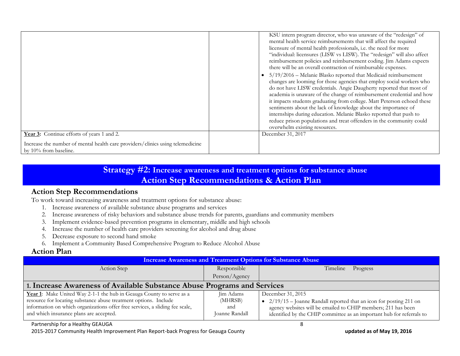|                                                                                                         | KSU intern program director, who was unaware of the "redesign" of<br>mental health service reimbursements that will affect the required<br>licensure of mental health professionals, i.e. the need for more<br>"individual: licensures (LISW vs LISW). The "redesign" will also affect<br>reimbursement policies and reimbursement coding. Jim Adams expects<br>there will be an overall contraction of reimbursable expenses.<br>5/19/2016 - Melanie Blasko reported that Medicaid reimbursement<br>changes are looming for those agencies that employ social workers who<br>do not have LISW credentials. Angie Daugherty reported that most of<br>academia is unaware of the change of reimbursement credential and how<br>it impacts students graduating from college. Matt Peterson echoed these<br>sentiments about the lack of knowledge about the importance of<br>internships during education. Melanie Blasko reported that push to<br>reduce prison populations and treat offenders in the community could<br>overwhelm existing resources. |
|---------------------------------------------------------------------------------------------------------|--------------------------------------------------------------------------------------------------------------------------------------------------------------------------------------------------------------------------------------------------------------------------------------------------------------------------------------------------------------------------------------------------------------------------------------------------------------------------------------------------------------------------------------------------------------------------------------------------------------------------------------------------------------------------------------------------------------------------------------------------------------------------------------------------------------------------------------------------------------------------------------------------------------------------------------------------------------------------------------------------------------------------------------------------------|
| Year 3: Continue efforts of years 1 and 2.                                                              | December 31, 2017                                                                                                                                                                                                                                                                                                                                                                                                                                                                                                                                                                                                                                                                                                                                                                                                                                                                                                                                                                                                                                      |
| Increase the number of mental health care providers/clinics using telemedicine<br>by 10% from baseline. |                                                                                                                                                                                                                                                                                                                                                                                                                                                                                                                                                                                                                                                                                                                                                                                                                                                                                                                                                                                                                                                        |

## **Strategy #2: Increase awareness and treatment options for substance abuse Action Step Recommendations & Action Plan**

## **Action Step Recommendations**

To work toward increasing awareness and treatment options for substance abuse:

- 1. Increase awareness of available substance abuse programs and services
- 2. Increase awareness of risky behaviors and substance abuse trends for parents, guardians and community members
- 3. Implement evidence-based prevention programs in elementary, middle and high schools
- 4. Increase the number of health care providers screening for alcohol and drug abuse
- 5. Decrease exposure to second hand smoke
- 6. Implement a Community Based Comprehensive Program to Reduce Alcohol Abuse

## **Action Plan**

| Responsible                                                              |                                                                                                                                                                                                                                      |  |
|--------------------------------------------------------------------------|--------------------------------------------------------------------------------------------------------------------------------------------------------------------------------------------------------------------------------------|--|
|                                                                          | Timeline<br>Progress                                                                                                                                                                                                                 |  |
| Person/Agency                                                            |                                                                                                                                                                                                                                      |  |
| 1. Increase Awareness of Available Substance Abuse Programs and Services |                                                                                                                                                                                                                                      |  |
| Jim Adams<br>(MHRSB)<br>and<br>Joanne Randall                            | December 31, 2015<br>• $2/19/15$ – Joanne Randall reported that an icon for posting 211 on<br>agency websites will be emailed to CHIP members; 211 has been<br>identified by the CHIP committee as an important hub for referrals to |  |
|                                                                          |                                                                                                                                                                                                                                      |  |

#### Partnership for a Healthy GEAUGA 8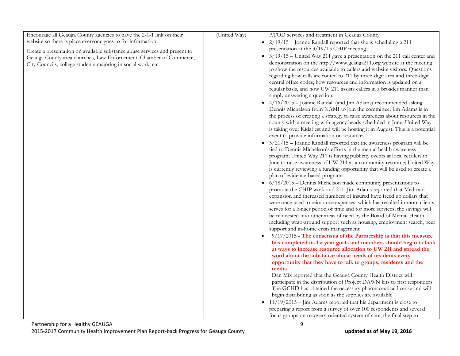| Encourage all Geauga County agencies to have the 2-1-1 link on their       | (United Way) | ATOD services and treatment in Geauga County                                                                                             |
|----------------------------------------------------------------------------|--------------|------------------------------------------------------------------------------------------------------------------------------------------|
| website so there is place everyone goes to for information.                |              | 2/19/15 - Joanne Randall reported that she is scheduling a 211                                                                           |
| Create a presentation on available substance abuse services and present to |              | presentation at the 3/19/15 CHIP meeting                                                                                                 |
| Geauga County area churches, Law Enforcement, Chamber of Commerce,         |              | 3/19/15 - United Way 211 gave a presentation on the 211 call center and                                                                  |
| City Councils, college students majoring in social work, etc.              |              | demonstration on the http://www.geauga211.org website at the meeting                                                                     |
|                                                                            |              | to show the resources available to callers and website visitors. Questions                                                               |
|                                                                            |              | regarding how calls are routed to 211 by three-digit area and three-digit                                                                |
|                                                                            |              | central office codes, how resources and information is updated on a                                                                      |
|                                                                            |              | regular basis, and how UW 211 assists callers in a broader manner than                                                                   |
|                                                                            |              | simply answering a question.                                                                                                             |
|                                                                            |              | • 4/16/2015 - Joanne Randall (and Jim Adams) recommended asking                                                                          |
|                                                                            |              | Dennis Michelson from NAMI to join the committee; Jim Adams is in                                                                        |
|                                                                            |              | the process of creating a strategy to raise awareness about resources in the                                                             |
|                                                                            |              | county with a meeting with agency heads scheduled in June; United Way                                                                    |
|                                                                            |              | is taking over KidsFest and will be hosting it in August. This is a potential                                                            |
|                                                                            |              | event to provide information on resources                                                                                                |
|                                                                            |              | $5/21/15$ – Joanne Randall reported that the awareness program will be                                                                   |
|                                                                            |              | tied to Dennis Michelson's efforts in the mental health awareness                                                                        |
|                                                                            |              | program; United Way 211 is having publicity events at local retailers in                                                                 |
|                                                                            |              | June to raise awareness of UW 211 as a community resource; United Way                                                                    |
|                                                                            |              | is currently reviewing a funding opportunity that will be used to create a                                                               |
|                                                                            |              | plan of evidence-based programs                                                                                                          |
|                                                                            |              | $6/18/2015$ – Dennis Michelson made community presentations to                                                                           |
|                                                                            |              | promote the CHIP work and 211. Jim Adams reported that Medicaid<br>expansion and increased numbers of insured have freed up dollars that |
|                                                                            |              | were once used to reimburse expenses, which has resulted in more clients                                                                 |
|                                                                            |              | serves for a longer period of time and for more services; the savings will                                                               |
|                                                                            |              | be reinvested into other areas of need by the Board of Mental Health                                                                     |
|                                                                            |              | including wrap-around support such as housing, employment search, peer                                                                   |
|                                                                            |              | support and in-home crisis management                                                                                                    |
|                                                                            |              | $9/17/2015$ - The consensus of the Partnership is that this measure                                                                      |
|                                                                            |              | has completed its 1st year goals and members should begin to look                                                                        |
|                                                                            |              | at ways to increase resource allocation to UW 211 and spread the                                                                         |
|                                                                            |              | word about the substance abuse needs of residents every                                                                                  |
|                                                                            |              | opportunity that they have to talk to groups, residents and the                                                                          |
|                                                                            |              | media                                                                                                                                    |
|                                                                            |              | Dan Mix reported that the Geauga County Health District will                                                                             |
|                                                                            |              | participate in the distribution of Project DAWN kits to first responders.                                                                |
|                                                                            |              | The GCHD has obtained the necessary pharmaceutical license and will                                                                      |
|                                                                            |              | begin distributing as soon as the supplies are available                                                                                 |
|                                                                            |              | $\bullet$ 11/19/2015 – Jim Adams reported that his department is close to                                                                |
|                                                                            |              | preparing a report from a survey of over 100 respondents and several                                                                     |
|                                                                            |              | focus groups on recovery-oriented system of care; the final step to                                                                      |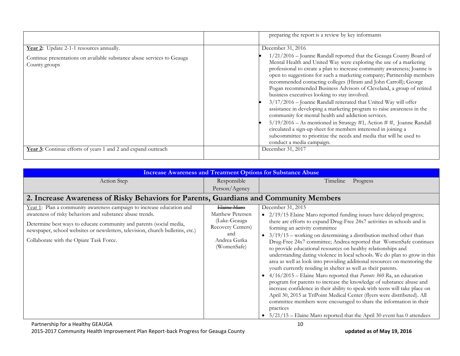|                                                                                                                                     | preparing the report is a review by key informants                                                                                                                                                                                                                                                                                                                                                                                                                                                                                                                                                                                                                                                                                                                                                                                                                                                                                                                   |
|-------------------------------------------------------------------------------------------------------------------------------------|----------------------------------------------------------------------------------------------------------------------------------------------------------------------------------------------------------------------------------------------------------------------------------------------------------------------------------------------------------------------------------------------------------------------------------------------------------------------------------------------------------------------------------------------------------------------------------------------------------------------------------------------------------------------------------------------------------------------------------------------------------------------------------------------------------------------------------------------------------------------------------------------------------------------------------------------------------------------|
| Year 2: Update 2-1-1 resources annually.<br>Continue presentations on available substance abuse services to Geauga<br>County groups | December 31, 2016<br>1/21/2016 - Joanne Randall reported that the Geauga County Board of<br>Mental Health and United Way were exploring the use of a marketing<br>professional to create a plan to increase community awareness; Joanne is<br>open to suggestions for such a marketing company; Partnership members<br>recommended contacting colleges (Hiram and John Carroll); George<br>Pogan recommended Business Advisors of Cleveland, a group of retired<br>business executives looking to stay involved.<br>3/17/2016 - Joanne Randall reiterated that United Way will offer<br>assistance in developing a marketing program to raise awareness in the<br>community for mental health and addiction services.<br>$5/19/2016$ – As mentioned in Strategy #1, Action # #, Joanne Randall<br>circulated a sign-up sheet for members interested in joining a<br>subcommittee to prioritize the needs and media that will be used to<br>conduct a media campaign. |
| Year 3: Continue efforts of years 1 and 2 and expand outreach                                                                       | December 31, 2017                                                                                                                                                                                                                                                                                                                                                                                                                                                                                                                                                                                                                                                                                                                                                                                                                                                                                                                                                    |

|                                                                                                                                                                                                                                                                                                                                       |                                                                                                            | <b>Increase Awareness and Treatment Options for Substance Abuse</b>                                                                                                                                                                                                                                                                                                                                                                                                                                                                                                                                                                                                                                                                                                                                                                                                                                                                                                                                                                                                                                                                                       |
|---------------------------------------------------------------------------------------------------------------------------------------------------------------------------------------------------------------------------------------------------------------------------------------------------------------------------------------|------------------------------------------------------------------------------------------------------------|-----------------------------------------------------------------------------------------------------------------------------------------------------------------------------------------------------------------------------------------------------------------------------------------------------------------------------------------------------------------------------------------------------------------------------------------------------------------------------------------------------------------------------------------------------------------------------------------------------------------------------------------------------------------------------------------------------------------------------------------------------------------------------------------------------------------------------------------------------------------------------------------------------------------------------------------------------------------------------------------------------------------------------------------------------------------------------------------------------------------------------------------------------------|
| Action Step                                                                                                                                                                                                                                                                                                                           | Responsible                                                                                                | Progress<br><b>Timeline</b>                                                                                                                                                                                                                                                                                                                                                                                                                                                                                                                                                                                                                                                                                                                                                                                                                                                                                                                                                                                                                                                                                                                               |
|                                                                                                                                                                                                                                                                                                                                       | Person/Agency                                                                                              |                                                                                                                                                                                                                                                                                                                                                                                                                                                                                                                                                                                                                                                                                                                                                                                                                                                                                                                                                                                                                                                                                                                                                           |
| 2. Increase Awareness of Risky Behaviors for Parents, Guardians and Community Members                                                                                                                                                                                                                                                 |                                                                                                            |                                                                                                                                                                                                                                                                                                                                                                                                                                                                                                                                                                                                                                                                                                                                                                                                                                                                                                                                                                                                                                                                                                                                                           |
| Year 1: Plan a community awareness campaign to increase education and<br>awareness of risky behaviors and substance abuse trends.<br>Determine best ways to educate community and parents (social media,<br>newspaper, school websites or newsletters, television, church bulletins, etc.)<br>Collaborate with the Opiate Task Force. | Elaine Maro<br>Matthew Petersen<br>(Lake-Geauga<br>Recovery Centers)<br>and<br>Andrea Gutka<br>(WomenSafe) | December 31, 2015<br>2/19/15 Elaine Maro reported funding issues have delayed progress;<br>$\bullet$<br>there are efforts to expand Drug-Free 24x7 activities in schools and is<br>forming an activity committee<br>$3/19/15$ – working on determining a distribution method other than<br>$\bullet$<br>Drug-Free 24x7 committee; Andrea reported that WomenSafe continues<br>to provide educational resources on healthy relationships and<br>understanding dating violence in local schools. We do plan to grow in this<br>area as well as look into providing additional resources on mentoring the<br>youth currently residing in shelter as well as their parents.<br>$4/16/2015$ – Elaine Maro reported that <i>Parents</i> 360 Ra, an education<br>program for parents to increase the knowledge of substance abuse and<br>increase confidence in their ability to speak with teens will take place on<br>April 30, 2015 at TriPoint Medical Center (flyers were distributed). All<br>committee members were encouraged to share the information in their<br>practices<br>$5/21/15$ – Elaine Maro reported that the April 30 event has 0 attendees |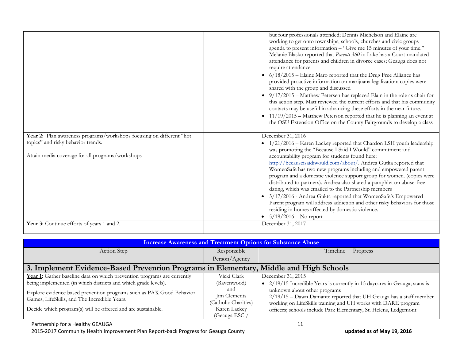| working to get onto townships, schools, churches and civic groups<br>agenda to present information - "Give me 15 minutes of your time."<br>Melanie Blasko reported that Parents 360 in Lake has a Court-mandated<br>attendance for parents and children in divorce cases; Geauga does not<br>require attendance<br>• 6/18/2015 - Elaine Maro reported that the Drug Free Alliance has<br>provided proactive information on marijuana legalization; copies were<br>shared with the group and discussed<br>$\bullet$ 9/17/2015 - Matthew Petersen has replaced Elain in the role as chair for<br>contacts may be useful in advancing these efforts in the near future.<br>• $11/19/2015$ – Matthew Peterson reported that he is planning an event at<br>the OSU Extension Office on the County Fairgrounds to develop a class<br>Year 2: Plan awareness programs/workshops focusing on different "hot<br>December 31, 2016<br>topics" and risky behavior trends.<br>1/21/2016 - Karen Lackey reported that Chardon LSH youth leadership<br>$\bullet$<br>was promoting the "Because I Said I Would" commitment and<br>Attain media coverage for all programs/workshops<br>accountability program for students found here:<br>http://becauseisaidiwould.com/about/. Andrea Gutka reported that<br>WomenSafe has two new programs including and empowered parent<br>distributed to partners). Andrea also shared a pamphlet on abuse-free<br>dating, which was emailed to the Partnership members<br>3/17/2016 - Andrea Gukta reported that WomenSafe's Empowered<br>residing in homes affected by domestic violence.<br>$5/19/2016$ – No report<br>Year 3: Continue efforts of years 1 and 2.<br>December 31, 2017 |                                                                                                                                                    |
|----------------------------------------------------------------------------------------------------------------------------------------------------------------------------------------------------------------------------------------------------------------------------------------------------------------------------------------------------------------------------------------------------------------------------------------------------------------------------------------------------------------------------------------------------------------------------------------------------------------------------------------------------------------------------------------------------------------------------------------------------------------------------------------------------------------------------------------------------------------------------------------------------------------------------------------------------------------------------------------------------------------------------------------------------------------------------------------------------------------------------------------------------------------------------------------------------------------------------------------------------------------------------------------------------------------------------------------------------------------------------------------------------------------------------------------------------------------------------------------------------------------------------------------------------------------------------------------------------------------------------------------------------------------------------------------------------------------|----------------------------------------------------------------------------------------------------------------------------------------------------|
|                                                                                                                                                                                                                                                                                                                                                                                                                                                                                                                                                                                                                                                                                                                                                                                                                                                                                                                                                                                                                                                                                                                                                                                                                                                                                                                                                                                                                                                                                                                                                                                                                                                                                                                | but four professionals attended; Dennis Michelson and Elaine are<br>this action step. Matt reviewed the current efforts and that his community     |
|                                                                                                                                                                                                                                                                                                                                                                                                                                                                                                                                                                                                                                                                                                                                                                                                                                                                                                                                                                                                                                                                                                                                                                                                                                                                                                                                                                                                                                                                                                                                                                                                                                                                                                                |                                                                                                                                                    |
|                                                                                                                                                                                                                                                                                                                                                                                                                                                                                                                                                                                                                                                                                                                                                                                                                                                                                                                                                                                                                                                                                                                                                                                                                                                                                                                                                                                                                                                                                                                                                                                                                                                                                                                | program and a domestic violence support group for women. (copies were<br>Parent program will address addiction and other risky behaviors for those |
|                                                                                                                                                                                                                                                                                                                                                                                                                                                                                                                                                                                                                                                                                                                                                                                                                                                                                                                                                                                                                                                                                                                                                                                                                                                                                                                                                                                                                                                                                                                                                                                                                                                                                                                |                                                                                                                                                    |

| <b>Increase Awareness and Treatment Options for Substance Abuse</b>                                                                                                                  |                                                                             |                                                                                                                                                                                                                                          |
|--------------------------------------------------------------------------------------------------------------------------------------------------------------------------------------|-----------------------------------------------------------------------------|------------------------------------------------------------------------------------------------------------------------------------------------------------------------------------------------------------------------------------------|
| Action Step                                                                                                                                                                          | Responsible                                                                 | Timeline<br>Progress                                                                                                                                                                                                                     |
|                                                                                                                                                                                      | Person/Agency                                                               |                                                                                                                                                                                                                                          |
| 3. Implement Evidence-Based Prevention Programs in Elementary, Middle and High Schools                                                                                               |                                                                             |                                                                                                                                                                                                                                          |
| Year 1: Gather baseline data on which prevention programs are currently                                                                                                              | Vicki Clark                                                                 | December 31, 2015                                                                                                                                                                                                                        |
| being implemented (in which districts and which grade levels).                                                                                                                       | (Ravenwood)                                                                 | • 2/19/15 Incredible Years is currently in 15 daycares in Geauga; staus is                                                                                                                                                               |
| Explore evidence based prevention programs such as PAX Good Behavior<br>Games, LifeSkills, and The Incredible Years.<br>Decide which program(s) will be offered and are sustainable. | and<br>Jim Clements<br>(Catholic Charities)<br>Karen Lackey<br>(Geauga ESC) | unknown about other programs<br>$2/19/15$ – Dawn Damante reported that UH Geauga has a staff member<br>working on LifeSkills training and UH works with DARE program<br>officers; schools include Park Elementary, St. Helens, Ledgemont |

#### Partnership for a Healthy GEAUGA 11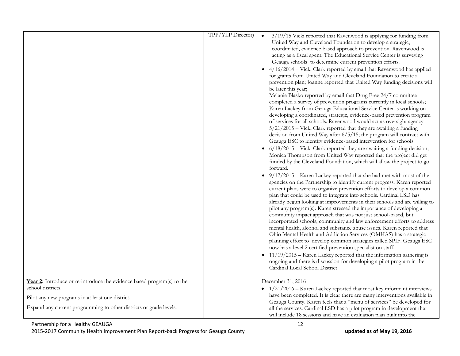|                                                                                                                                                                                                                       | TPP/YLP Director) | 3/19/15 Vicki reported that Ravenwood is applying for funding from<br>$\bullet$<br>United Way and Cleveland Foundation to develop a strategic,<br>coordinated, evidence based approach to prevention. Ravenwood is<br>acting as a fiscal agent. The Educational Service Center is surveying<br>Geauga schools to determine current prevention efforts.<br>4/16/2014 - Vicki Clark reported by email that Ravenwood has applied<br>for grants from United Way and Cleveland Foundation to create a<br>prevention plan; Joanne reported that United Way funding decisions will<br>be later this year;<br>Melanie Blasko reported by email that Drug Free 24/7 committee<br>completed a survey of prevention programs currently in local schools;<br>Karen Lackey from Geauga Educational Service Center is working on<br>developing a coordinated, strategic, evidence-based prevention program<br>of services for all schools. Ravenwood would act as oversight agency<br>5/21/2015 - Vicki Clark reported that they are awaiting a funding<br>decision from United Way after 6/5/15; the program will contract with<br>Geauga ESC to identify evidence-based intervention for schools<br>$6/18/2015$ – Vicki Clark reported they are awaiting a funding decision;<br>Monica Thompson from United Way reported that the project did get<br>funded by the Cleveland Foundation, which will allow the project to go<br>forward.<br>• 9/17/2015 - Karen Lackey reported that she had met with most of the<br>agencies on the Partnership to identify current progress. Karen reported<br>current plans were to organize prevention efforts to develop a common<br>plan that could be used to integrate into schools. Cardinal LSD has<br>already begun looking at improvements in their schools and are willing to<br>pilot any program(s). Karen stressed the importance of developing a<br>community impact approach that was not just school-based, but<br>incorporated schools, community and law enforcement efforts to address<br>mental health, alcohol and substance abuse issues. Karen reported that<br>Ohio Mental Health and Addiction Services (OMHAS) has a strategic<br>planning effort to develop common strategies called SPIF. Geauga ESC<br>now has a level 2 certified prevention specialist on staff.<br>• $11/19/2015$ – Karen Lackey reported that the information gathering is<br>ongoing and there is discussion for developing a pilot program in the<br>Cardinal Local School District |
|-----------------------------------------------------------------------------------------------------------------------------------------------------------------------------------------------------------------------|-------------------|---------------------------------------------------------------------------------------------------------------------------------------------------------------------------------------------------------------------------------------------------------------------------------------------------------------------------------------------------------------------------------------------------------------------------------------------------------------------------------------------------------------------------------------------------------------------------------------------------------------------------------------------------------------------------------------------------------------------------------------------------------------------------------------------------------------------------------------------------------------------------------------------------------------------------------------------------------------------------------------------------------------------------------------------------------------------------------------------------------------------------------------------------------------------------------------------------------------------------------------------------------------------------------------------------------------------------------------------------------------------------------------------------------------------------------------------------------------------------------------------------------------------------------------------------------------------------------------------------------------------------------------------------------------------------------------------------------------------------------------------------------------------------------------------------------------------------------------------------------------------------------------------------------------------------------------------------------------------------------------------------------------------------------------------------------------------------------------------------------------------------------------------------------------------------------------------------------------------------------------------------------------------------------------------------------------------------------------------------------------------------------------------------------------------------------------------------------------------------------------------------------------|
| Year 2: Introduce or re-introduce the evidence based program(s) to the<br>school districts.<br>Pilot any new programs in at least one district.<br>Expand any current programming to other districts or grade levels. |                   | December 31, 2016<br>$\bullet$ 1/21/2016 – Karen Lackey reported that most key informant interviews<br>have been completed. It is clear there are many interventions available in<br>Geauga County. Karen feels that a "menu of services" be developed for<br>all the services. Cardinal LSD has a pilot program in development that<br>will include 18 sessions and have an evaluation plan built into the                                                                                                                                                                                                                                                                                                                                                                                                                                                                                                                                                                                                                                                                                                                                                                                                                                                                                                                                                                                                                                                                                                                                                                                                                                                                                                                                                                                                                                                                                                                                                                                                                                                                                                                                                                                                                                                                                                                                                                                                                                                                                                   |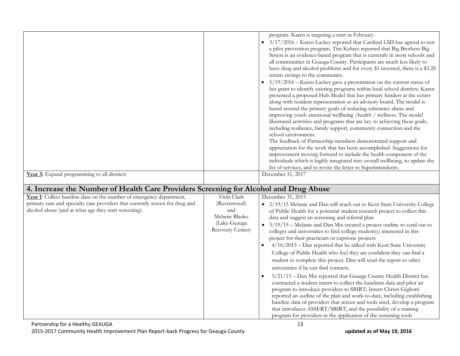| Year 3: Expand programming to all districts                                                                                                                                                                                                                                                           |                                                                                         | program. Karen is targeting a start in February.<br>3/17/2016 - Karen Lackey reported that Cardinal LSD has agreed to run<br>٠<br>a pilot prevention program. Tim Kehres reported that Big Brothers Big<br>Sisters is an evidence-based program that is currently in most schools and<br>all communities in Geauga County. Participants are much less likely to<br>have drug and alcohol problems and for every \$1 invested, there is a \$3.28<br>return savings to the community.<br>$5/19/2016$ – Karen Lackey gave a presentation on the current status of<br>her grant to identify existing programs within local school districts. Karen<br>presented a proposed Hub Model that has primary funders at the center<br>along with resident representation as an advisory board. The model is<br>based around the primary goals of reducing substance abuse and<br>improving youth emotional wellbeing /health / wellness. The model<br>illustrated activities and programs that are key to achieving these goals,<br>including resilience, family support, community connection and the<br>school environment.<br>The feedback of Partnership members demonstrated support and<br>appreciation for the work that has been accomplished. Suggestions for<br>improvement moving forward to include the health component of the<br>individuals which is highly integrated into overall wellbeing, to update the<br>list of services, and to revise the letter to Superintendents.<br>December 31, 2017 |
|-------------------------------------------------------------------------------------------------------------------------------------------------------------------------------------------------------------------------------------------------------------------------------------------------------|-----------------------------------------------------------------------------------------|---------------------------------------------------------------------------------------------------------------------------------------------------------------------------------------------------------------------------------------------------------------------------------------------------------------------------------------------------------------------------------------------------------------------------------------------------------------------------------------------------------------------------------------------------------------------------------------------------------------------------------------------------------------------------------------------------------------------------------------------------------------------------------------------------------------------------------------------------------------------------------------------------------------------------------------------------------------------------------------------------------------------------------------------------------------------------------------------------------------------------------------------------------------------------------------------------------------------------------------------------------------------------------------------------------------------------------------------------------------------------------------------------------------------------------------------------------------------------------------------------------|
|                                                                                                                                                                                                                                                                                                       |                                                                                         |                                                                                                                                                                                                                                                                                                                                                                                                                                                                                                                                                                                                                                                                                                                                                                                                                                                                                                                                                                                                                                                                                                                                                                                                                                                                                                                                                                                                                                                                                                         |
| 4. Increase the Number of Health Care Providers Screening for Alcohol and Drug Abuse<br>Year 1: Collect baseline data on the number of emergency department,<br>primary care and specialty care providers that currently screen for drug and<br>alcohol abuse (and at what age they start screening). | Vicki Clark<br>(Ravenwood)<br>and<br>Melanie Blasko<br>(Lake-Geauga<br>Recovery Center) | December 31, 2015<br>· 2/19/15 Melanie and Dan will reach out to Kent State University College<br>of Public Health for a potential student research project to collect this<br>data and suggest an screening and referral plan<br>• $3/19/15$ – Melanie and Dan Mix created a project outline to send out to<br>colleges and universities to find college student(s) interested in this<br>project for their practicum or capstone projects<br>4/16/2015 - Dan reported that he talked with Kent State University<br>College of Public Health who feel they are confident they can find a<br>student to complete this project. Dan will send the report to other<br>universities if he can find contacts.<br>5/21/15 - Dan Mix reported that Geauga County Health District has<br>contracted a student intern to collect the baselines data and pilot an<br>program to introduce providers to SBIRT; Intern Christi Gigliotti<br>reported an outline of the plan and work-to-date, including establishing<br>baseline data of providers that screen and tools used, develop a program<br>that introduces ASSERT/SBIRT, and the possibility of a training<br>program for providers in the application of the screening tools                                                                                                                                                                                                                                                                             |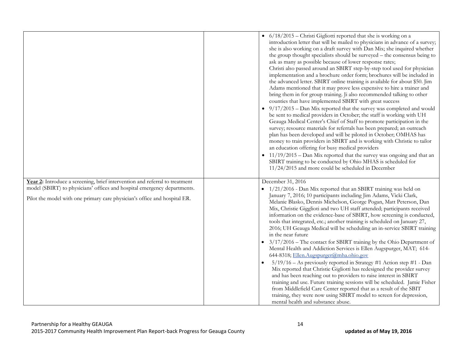|                                                                                                                                                                                                                                      | • 6/18/2015 - Christi Gigliotti reported that she is working on a<br>introduction letter that will be mailed to physicians in advance of a survey;<br>she is also working on a draft survey with Dan Mix; she inquired whether<br>the group thought specialists should be surveyed – the consensus being to<br>ask as many as possible because of lower response rates;<br>Christi also passed around an SBIRT step-by-step tool used for physician<br>implementation and a brochure order form; brochures will be included in<br>the advanced letter. SBIRT online training is available for about \$50. Jim<br>Adams mentioned that it may prove less expensive to hire a trainer and<br>bring them in for group training. Ji also recommended talking to other<br>counties that have implemented SBIRT with great success<br>$9/17/2015$ – Dan Mix reported that the survey was completed and would<br>$\bullet$<br>be sent to medical providers in October; the staff is working with UH<br>Geauga Medical Center's Chief of Staff to promote participation in the<br>survey; resource materials for referrals has been prepared; an outreach<br>plan has been developed and will be piloted in October; OMHAS has<br>money to train providers in SBIRT and is working with Christie to tailor<br>an education offering for busy medical providers<br>$\bullet$ 11/19/2015 - Dan Mix reported that the survey was ongoing and that an<br>SBIRT training to be conducted by Ohio MHAS is scheduled for<br>$11/24/2015$ and more could be scheduled in December |
|--------------------------------------------------------------------------------------------------------------------------------------------------------------------------------------------------------------------------------------|-------------------------------------------------------------------------------------------------------------------------------------------------------------------------------------------------------------------------------------------------------------------------------------------------------------------------------------------------------------------------------------------------------------------------------------------------------------------------------------------------------------------------------------------------------------------------------------------------------------------------------------------------------------------------------------------------------------------------------------------------------------------------------------------------------------------------------------------------------------------------------------------------------------------------------------------------------------------------------------------------------------------------------------------------------------------------------------------------------------------------------------------------------------------------------------------------------------------------------------------------------------------------------------------------------------------------------------------------------------------------------------------------------------------------------------------------------------------------------------------------------------------------------------------------------------------|
| Year 2: Introduce a screening, brief intervention and referral to treatment<br>model (SBIRT) to physicians' offices and hospital emergency departments.<br>Pilot the model with one primary care physician's office and hospital ER. | December 31, 2016<br>• 1/21/2016 - Dan Mix reported that an SBIRT training was held on<br>January 7, 2016; 10 participants including Jim Adams, Vicki Clark,<br>Melanie Blasko, Dennis Michelson, George Pogan, Matt Peterson, Dan<br>Mix, Christie Gigglioti and two UH staff attended; participants received<br>information on the evidence-base of SBIRT, how screening is conducted,<br>tools that integrated, etc.; another training is scheduled on January 27,<br>2016; UH Geauga Medical will be scheduling an in-service SBIRT training<br>in the near future<br>$3/17/2016$ – The contact for SBIRT training by the Ohio Department of<br>Mental Health and Addiction Services is Ellen Augspurger, MAT; 614-<br>644-8318; Ellen.Augspurger@mha.ohio.gov<br>5/19/16 - As previously reported in Strategy #1 Action step #1 - Dan<br>Mix reported that Christie Gigliotti has redesigned the provider survey<br>and has been reaching out to providers to raise interest in SBIRT<br>training and use. Future training sessions will be scheduled. Jamie Fisher<br>from Middlefield Care Center reported that as a result of the SBIT<br>training, they were now using SBIRT model to screen for depression,<br>mental health and substance abuse.                                                                                                                                                                                                                                                                                                       |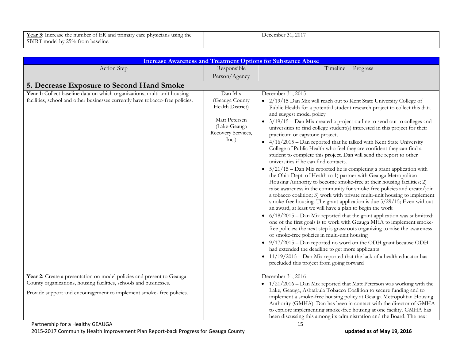| $\mathbf{r}$<br>Year $3$ :<br>: Increase the number of .<br>t ER and primary care physicians using the | 2017<br>ecember<br>. . |
|--------------------------------------------------------------------------------------------------------|------------------------|
| SBIRT model by 25% from baseline.                                                                      |                        |

| <b>Increase Awareness and Treatment Options for Substance Abuse</b>                                                                                                                                                |                                                                                                               |                                                                                                                                                                                                                                                                                                                                                                                                                                                                                                                                                                                                                                                                                                                                                                                                                                                                                                                                                                                                                                                                                                                                                                                                                                                                                                                                                                                                                                                                                                                                                                                                                                                                                                                                                       |
|--------------------------------------------------------------------------------------------------------------------------------------------------------------------------------------------------------------------|---------------------------------------------------------------------------------------------------------------|-------------------------------------------------------------------------------------------------------------------------------------------------------------------------------------------------------------------------------------------------------------------------------------------------------------------------------------------------------------------------------------------------------------------------------------------------------------------------------------------------------------------------------------------------------------------------------------------------------------------------------------------------------------------------------------------------------------------------------------------------------------------------------------------------------------------------------------------------------------------------------------------------------------------------------------------------------------------------------------------------------------------------------------------------------------------------------------------------------------------------------------------------------------------------------------------------------------------------------------------------------------------------------------------------------------------------------------------------------------------------------------------------------------------------------------------------------------------------------------------------------------------------------------------------------------------------------------------------------------------------------------------------------------------------------------------------------------------------------------------------------|
| Action Step                                                                                                                                                                                                        | Responsible                                                                                                   | Timeline Progress                                                                                                                                                                                                                                                                                                                                                                                                                                                                                                                                                                                                                                                                                                                                                                                                                                                                                                                                                                                                                                                                                                                                                                                                                                                                                                                                                                                                                                                                                                                                                                                                                                                                                                                                     |
|                                                                                                                                                                                                                    | Person/Agency                                                                                                 |                                                                                                                                                                                                                                                                                                                                                                                                                                                                                                                                                                                                                                                                                                                                                                                                                                                                                                                                                                                                                                                                                                                                                                                                                                                                                                                                                                                                                                                                                                                                                                                                                                                                                                                                                       |
| 5. Decrease Exposure to Second Hand Smoke                                                                                                                                                                          |                                                                                                               |                                                                                                                                                                                                                                                                                                                                                                                                                                                                                                                                                                                                                                                                                                                                                                                                                                                                                                                                                                                                                                                                                                                                                                                                                                                                                                                                                                                                                                                                                                                                                                                                                                                                                                                                                       |
| Year 1: Collect baseline data on which organizations, multi-unit housing<br>facilities, school and other businesses currently have tobacco-free policies.                                                          | Dan Mix<br>(Geauga County<br>Health District)<br>Matt Petersen<br>(Lake-Geauga<br>Recovery Services,<br>Inc.) | December 31, 2015<br>• 2/19/15 Dan Mix will reach out to Kent State University College of<br>Public Health for a potential student research project to collect this data<br>and suggest model policy<br>• $3/19/15$ – Dan Mix created a project outline to send out to colleges and<br>universities to find college student(s) interested in this project for their<br>practicum or capstone projects<br>• 4/16/2015 - Dan reported that he talked with Kent State University<br>College of Public Health who feel they are confident they can find a<br>student to complete this project. Dan will send the report to other<br>universities if he can find contacts.<br>$5/21/15$ – Dan Mix reported he is completing a grant application with<br>the Ohio Dept. of Health to 1) partner with Geauga Metropolitan<br>Housing Authority to become smoke-free at their housing facilities; 2)<br>raise awareness in the community for smoke-free policies and create/join<br>a tobacco coalition; 3) work with private multi-unit housing to implement<br>smoke-free housing. The grant application is due 5/29/15; Even without<br>an award, at least we will have a plan to begin the work<br>$6/18/2015$ – Dan Mix reported that the grant application was submitted;<br>$\bullet$<br>one of the first goals is to work with Geauga MHA to implement smoke-<br>free policies; the next step is grassroots organizing to raise the awareness<br>of smoke-free policies in multi-unit housing<br>• $9/17/2015$ – Dan reported no word on the ODH grant because ODH<br>had extended the deadline to get more applicants<br>$\bullet$ 11/19/2015 - Dan Mix reported that the lack of a health educator has<br>precluded this project from going forward |
| Year 2: Create a presentation on model policies and present to Geauga<br>County organizations, housing facilities, schools and businesses.<br>Provide support and encouragement to implement smoke- free policies. |                                                                                                               | December 31, 2016<br>$\bullet$ 1/21/2016 – Dan Mix reported that Matt Peterson was working with the<br>Lake, Geauga, Ashtabula Tobacco Coalition to secure funding and to<br>implement a smoke-free housing policy at Geauga Metropolitan Housing<br>Authority (GMHA). Dan has been in contact with the director of GMHA<br>to explore implementing smoke-free housing at one facility. GMHA has                                                                                                                                                                                                                                                                                                                                                                                                                                                                                                                                                                                                                                                                                                                                                                                                                                                                                                                                                                                                                                                                                                                                                                                                                                                                                                                                                      |
|                                                                                                                                                                                                                    |                                                                                                               | been discussing this among its administration and the Board. The next                                                                                                                                                                                                                                                                                                                                                                                                                                                                                                                                                                                                                                                                                                                                                                                                                                                                                                                                                                                                                                                                                                                                                                                                                                                                                                                                                                                                                                                                                                                                                                                                                                                                                 |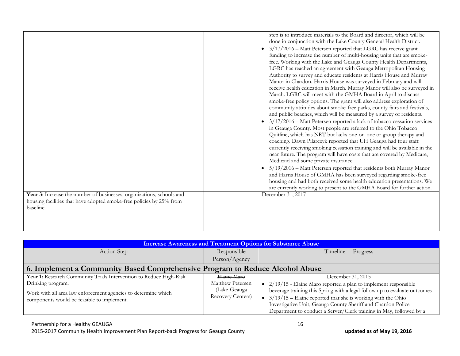|                                                                       | step is to introduce materials to the Board and director, which will be<br>done in conjunction with the Lake County General Health District.<br>$3/17/2016$ – Matt Petersen reported that LGRC has receive grant<br>funding to increase the number of multi-housing units that are smoke-<br>free. Working with the Lake and Geauga County Health Departments,<br>LGRC has reached an agreement with Geauga Metropolitan Housing<br>Authority to survey and educate residents at Harris House and Murray<br>Manor in Chardon. Harris House was surveyed in February and will<br>receive health education in March. Murray Manor will also be surveyed in<br>March. LGRC will meet with the GMHA Board in April to discuss<br>smoke-free policy options. The grant will also address exploration of<br>community attitudes about smoke-free parks, county fairs and festivals,<br>and public beaches, which will be measured by a survey of residents.<br>3/17/2016 - Matt Petersen reported a lack of tobacco cessation services<br>in Geauga County. Most people are referred to the Ohio Tobacco<br>Quitline, which has NRT but lacks one-on-one or group therapy and<br>coaching. Dawn Pilarczyk reported that UH Geauga had four staff<br>currently receiving smoking cessation training and will be available in the<br>near future. The program will have costs that are covered by Medicare,<br>Medicaid and some private insurance.<br>5/19/2016 - Matt Petersen reported that residents both Murray Manor<br>and Harris House of GMHA has been surveyed regarding smoke-free<br>housing and had both received some health education presentations. We<br>are currently working to present to the GMHA Board for further action. |
|-----------------------------------------------------------------------|------------------------------------------------------------------------------------------------------------------------------------------------------------------------------------------------------------------------------------------------------------------------------------------------------------------------------------------------------------------------------------------------------------------------------------------------------------------------------------------------------------------------------------------------------------------------------------------------------------------------------------------------------------------------------------------------------------------------------------------------------------------------------------------------------------------------------------------------------------------------------------------------------------------------------------------------------------------------------------------------------------------------------------------------------------------------------------------------------------------------------------------------------------------------------------------------------------------------------------------------------------------------------------------------------------------------------------------------------------------------------------------------------------------------------------------------------------------------------------------------------------------------------------------------------------------------------------------------------------------------------------------------------------------------------------------------------------------------------------------|
| Year 3: Increase the number of businesses, organizations, schools and | December 31, 2017                                                                                                                                                                                                                                                                                                                                                                                                                                                                                                                                                                                                                                                                                                                                                                                                                                                                                                                                                                                                                                                                                                                                                                                                                                                                                                                                                                                                                                                                                                                                                                                                                                                                                                                        |
| housing facilities that have adopted smoke-free policies by 25% from  |                                                                                                                                                                                                                                                                                                                                                                                                                                                                                                                                                                                                                                                                                                                                                                                                                                                                                                                                                                                                                                                                                                                                                                                                                                                                                                                                                                                                                                                                                                                                                                                                                                                                                                                                          |
| baseline.                                                             |                                                                                                                                                                                                                                                                                                                                                                                                                                                                                                                                                                                                                                                                                                                                                                                                                                                                                                                                                                                                                                                                                                                                                                                                                                                                                                                                                                                                                                                                                                                                                                                                                                                                                                                                          |
|                                                                       |                                                                                                                                                                                                                                                                                                                                                                                                                                                                                                                                                                                                                                                                                                                                                                                                                                                                                                                                                                                                                                                                                                                                                                                                                                                                                                                                                                                                                                                                                                                                                                                                                                                                                                                                          |
|                                                                       |                                                                                                                                                                                                                                                                                                                                                                                                                                                                                                                                                                                                                                                                                                                                                                                                                                                                                                                                                                                                                                                                                                                                                                                                                                                                                                                                                                                                                                                                                                                                                                                                                                                                                                                                          |
|                                                                       |                                                                                                                                                                                                                                                                                                                                                                                                                                                                                                                                                                                                                                                                                                                                                                                                                                                                                                                                                                                                                                                                                                                                                                                                                                                                                                                                                                                                                                                                                                                                                                                                                                                                                                                                          |

| <b>Increase Awareness and Treatment Options for Substance Abuse</b>          |                           |                                                                           |
|------------------------------------------------------------------------------|---------------------------|---------------------------------------------------------------------------|
| Action Step                                                                  | Responsible               | Timeline<br>Progress                                                      |
|                                                                              | Person/Agency             |                                                                           |
| 6. Implement a Community Based Comprehensive Program to Reduce Alcohol Abuse |                           |                                                                           |
| Year 1: Research Community Trials Intervention to Reduce High-Risk           | Haine Maro                | December 31, 2015                                                         |
| Drinking program.                                                            | Matthew Petersen          | $\bullet$ 2/19/15 - Elaine Maro reported a plan to implement responsible  |
| Work with all area law enforcement agencies to determine which               | (Lake-Geauga              | beverage training this Spring with a legal follow up to evaluate outcomes |
| components would be feasible to implement.                                   | <b>Recovery Centers</b> ) | $3/19/15$ – Elaine reported that she is working with the Ohio             |
|                                                                              |                           | Investigative Unit, Geauga County Sheriff and Chardon Police              |
|                                                                              |                           | Department to conduct a Server/Clerk training in May, followed by a       |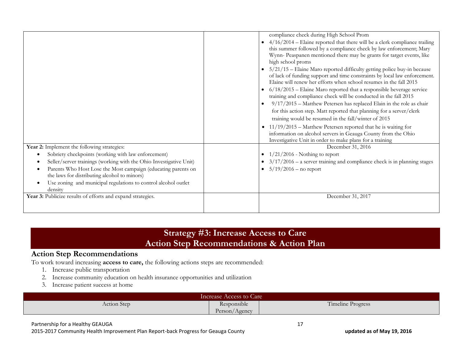|                                                                    | compliance check during High School Prom                                            |
|--------------------------------------------------------------------|-------------------------------------------------------------------------------------|
|                                                                    | • $4/16/2014$ – Elaine reported that there will be a clerk compliance trailing      |
|                                                                    | this summer followed by a compliance check by law enforcement; Mary                 |
|                                                                    | Wynn- Peaspanen mentioned there may be grants for target events, like               |
|                                                                    | high school proms                                                                   |
|                                                                    | $5/21/15$ – Elaine Maro reported difficulty getting police buy-in because           |
|                                                                    | of lack of funding support and time constraints by local law enforcement.           |
|                                                                    | Elaine will renew her efforts when school resumes in the fall 2015                  |
|                                                                    | $6/18/2015$ – Elaine Maro reported that a responsible beverage service<br>$\bullet$ |
|                                                                    | training and compliance check will be conducted in the fall 2015                    |
|                                                                    | 9/17/2015 - Matthew Petersen has replaced Elain in the role as chair                |
|                                                                    | for this action step. Matt reported that planning for a server/clerk                |
|                                                                    | training would be resumed in the fall/winter of 2015                                |
|                                                                    |                                                                                     |
|                                                                    | $11/19/2015$ – Matthew Petersen reported that he is waiting for<br>$\bullet$        |
|                                                                    | information on alcohol servers in Geauga County from the Ohio                       |
|                                                                    | Investigative Unit in order to make plans for a training                            |
| Year 2: Implement the following strategies:                        | December 31, 2016                                                                   |
| Sobriety checkpoints (working with law enforcement)                | $1/21/2016$ - Nothing to report                                                     |
| Seller/server trainings (working with the Ohio Investigative Unit) | $3/17/2016$ – a server training and compliance check is in planning stages          |
| Parents Who Host Lose the Most campaign (educating parents on      | • $5/19/2016$ – no report                                                           |
| the laws for distributing alcohol to minors)                       |                                                                                     |
| Use zoning and municipal regulations to control alcohol outlet     |                                                                                     |
| density                                                            |                                                                                     |
| Year 3: Publicize results of efforts and expand strategies.        | December 31, 2017                                                                   |
|                                                                    |                                                                                     |
|                                                                    |                                                                                     |

## **Strategy #3: Increase Access to Care Action Step Recommendations & Action Plan**

#### **Action Step Recommendations**

To work toward increasing **access to care,** the following actions steps are recommended:

- 1. Increase public transportation
- 2. Increase community education on health insurance opportunities and utilization
- 3. Increase patient success at home

| Increase Access to Care |                                                 |                   |
|-------------------------|-------------------------------------------------|-------------------|
| Action Step             | $\cdot$ $\cdot$<br>Responsible<br>Person/Agency | Timeline Progress |

#### Partnership for a Healthy GEAUGA 17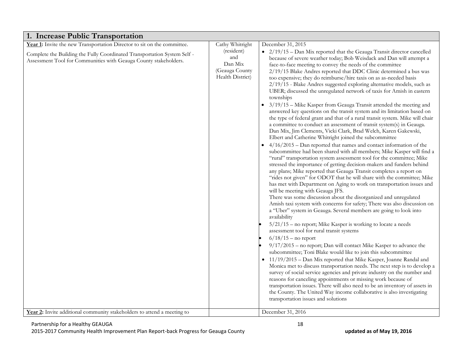| 1. Increase Public Transportation                                                                                                                                                                                                                                                                  |                                                                                       |                                                                                                                                                                                                                                                                                                                                                                                                                                                                                                                                                                                                                                                                                                                                                                                                                                                                                                                                                                                                                                                                                                                                                                                                                                                                                                                                                                                                                                                                                                                                                                                                                                                                                                                                                                                                                                                                                                                                                                                                                                                                                                                                                                                                                                                                                                                                                                                                                                                                                                                                                                          |
|----------------------------------------------------------------------------------------------------------------------------------------------------------------------------------------------------------------------------------------------------------------------------------------------------|---------------------------------------------------------------------------------------|--------------------------------------------------------------------------------------------------------------------------------------------------------------------------------------------------------------------------------------------------------------------------------------------------------------------------------------------------------------------------------------------------------------------------------------------------------------------------------------------------------------------------------------------------------------------------------------------------------------------------------------------------------------------------------------------------------------------------------------------------------------------------------------------------------------------------------------------------------------------------------------------------------------------------------------------------------------------------------------------------------------------------------------------------------------------------------------------------------------------------------------------------------------------------------------------------------------------------------------------------------------------------------------------------------------------------------------------------------------------------------------------------------------------------------------------------------------------------------------------------------------------------------------------------------------------------------------------------------------------------------------------------------------------------------------------------------------------------------------------------------------------------------------------------------------------------------------------------------------------------------------------------------------------------------------------------------------------------------------------------------------------------------------------------------------------------------------------------------------------------------------------------------------------------------------------------------------------------------------------------------------------------------------------------------------------------------------------------------------------------------------------------------------------------------------------------------------------------------------------------------------------------------------------------------------------------|
| Year 1: Invite the new Transportation Director to sit on the committee.<br>Complete the Building the Fully Coordinated Transportation System Self -<br>Assessment Tool for Communities with Geauga County stakeholders.<br>Year 2: Invite additional community stakeholders to attend a meeting to | Cathy Whitright<br>(resident)<br>and<br>Dan Mix<br>(Geauga County<br>Health District) | December 31, 2015<br>• 2/19/15 - Dan Mix reported that the Geauga Transit director cancelled<br>because of severe weather today; Bob Weisdack and Dan will attempt a<br>face-to-face meeting to convey the needs of the committee<br>2/19/15 Blake Andres reported that DDC Clinic determined a bus was<br>too expensive; they do reimburse/hire taxis on as as-needed basis<br>2/19/15 - Blake Andres suggested exploring alternative models, such as<br>UBER; discussed the unregulated network of taxis for Amish in eastern<br>townships<br>3/19/15 - Mike Kasper from Geauga Transit attended the meeting and<br>answered key questions on the transit system and its limitation based on<br>the type of federal grant and that of a rural transit system. Mike will chair<br>a committee to conduct an assessment of transit system(s) in Geauga.<br>Dan Mix, Jim Clements, Vicki Clark, Brad Welch, Karen Gakewski,<br>Elbert and Catherine Whitright joined the subcommittee<br>$4/16/2015$ – Dan reported that names and contact information of the<br>subcommittee had been shared with all members; Mike Kasper will find a<br>"rural" transportation system assessment tool for the committee; Mike<br>stressed the importance of getting decision-makers and funders behind<br>any plans; Mike reported that Geauga Transit completes a report on<br>"rides not given" for ODOT that he will share with the committee; Mike<br>has met with Department on Aging to work on transportation issues and<br>will be meeting with Geauga JFS.<br>There was some discussion about the disorganized and unregulated<br>Amish taxi system with concerns for safety; There was also discussion on<br>a "Uber" system in Geauga. Several members are going to look into<br>availability<br>5/21/15 - no report; Mike Kasper is working to locate a needs<br>assessment tool for rural transit systems<br>$6/18/15$ – no report<br>9/17/2015 - no report; Dan will contact Mike Kasper to advance the<br>subcommittee; Toni Blake would like to join this subcommittee<br>• 11/19/2015 - Dan Mix reported that Mike Kasper, Joanne Randal and<br>Monica met to discuss transportation needs. The next step is to develop a<br>survey of social service agencies and private industry on the number and<br>reasons for canceling appointments or missing work because of<br>transportation issues. There will also need to be an inventory of assets in<br>the County. The United Way income collaborative is also investigating<br>transportation issues and solutions |
|                                                                                                                                                                                                                                                                                                    |                                                                                       | December 31, 2016                                                                                                                                                                                                                                                                                                                                                                                                                                                                                                                                                                                                                                                                                                                                                                                                                                                                                                                                                                                                                                                                                                                                                                                                                                                                                                                                                                                                                                                                                                                                                                                                                                                                                                                                                                                                                                                                                                                                                                                                                                                                                                                                                                                                                                                                                                                                                                                                                                                                                                                                                        |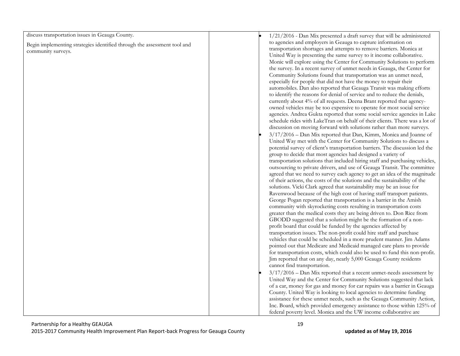| discuss transportation issues in Geauga County.                          | $1/21/2016$ - Dan Mix presented a draft survey that will be administered     |
|--------------------------------------------------------------------------|------------------------------------------------------------------------------|
| Begin implementing strategies identified through the assessment tool and | to agencies and employers in Geauga to capture information on                |
| community surveys.                                                       | transportation shortages and attempts to remove barriers. Monica at          |
|                                                                          | United Way is presenting the same survey to it income collaborative.         |
|                                                                          | Monic will explore using the Center for Community Solutions to perform       |
|                                                                          | the survey. In a recent survey of unmet needs in Geauga, the Center for      |
|                                                                          | Community Solutions found that transportation was an unmet need,             |
|                                                                          | especially for people that did not have the money to repair their            |
|                                                                          | automobiles. Dan also reported that Geauga Transit was making efforts        |
|                                                                          | to identify the reasons for denial of service and to reduce the denials,     |
|                                                                          | currently about 4% of all requests. Deena Brant reported that agency-        |
|                                                                          | owned vehicles may be too expensive to operate for most social service       |
|                                                                          | agencies. Andrea Gukta reported that some social service agencies in Lake    |
|                                                                          | schedule rides with LakeTran on behalf of their clients. There was a lot of  |
|                                                                          | discussion on moving forward with solutions rather than more surveys.        |
|                                                                          | 3/17/2016 - Dan Mix reported that Dan, Kimm, Monica and Joanne of            |
|                                                                          | United Way met with the Center for Community Solutions to discuss a          |
|                                                                          | potential survey of client's transportation barriers. The discussion led the |
|                                                                          | group to decide that most agencies had designed a variety of                 |
|                                                                          | transportation solutions that included hiring staff and purchasing vehicles, |
|                                                                          | outsourcing to private drivers, and use of Geauga Transit. The committee     |
|                                                                          | agreed that we need to survey each agency to get an idea of the magnitude    |
|                                                                          | of their actions, the costs of the solutions and the sustainability of the   |
|                                                                          | solutions. Vicki Clark agreed that sustainability may be an issue for        |
|                                                                          | Ravenwood because of the high cost of having staff transport patients.       |
|                                                                          | George Pogan reported that transportation is a barrier in the Amish          |
|                                                                          | community with skyrocketing costs resulting in transportation costs          |
|                                                                          | greater than the medical costs they are being driven to. Don Rice from       |
|                                                                          | GBODD suggested that a solution might be the formation of a non-             |
|                                                                          | profit board that could be funded by the agencies affected by                |
|                                                                          | transportation issues. The non-profit could hire staff and purchase          |
|                                                                          | vehicles that could be scheduled in a more prudent manner. Jim Adams         |
|                                                                          | pointed out that Medicare and Medicaid managed care plans to provide         |
|                                                                          | for transportation costs, which could also be used to fund this non-profit.  |
|                                                                          | Jim reported that on any day, nearly 5,000 Geauga County residents           |
|                                                                          | cannot find transportation.                                                  |
|                                                                          | $3/17/2016$ – Dan Mix reported that a recent unmet-needs assessment by       |
|                                                                          | United Way and the Center for Community Solutions suggested that lack        |
|                                                                          | of a car, money for gas and money for car repairs was a barrier in Geauga    |
|                                                                          | County. United Way is looking to local agencies to determine funding         |
|                                                                          | assistance for these unmet needs, such as the Geauga Community Action,       |
|                                                                          | Inc. Board, which provided emergency assistance to those within 125% of      |
|                                                                          | federal poverty level. Monica and the UW income collaborative are            |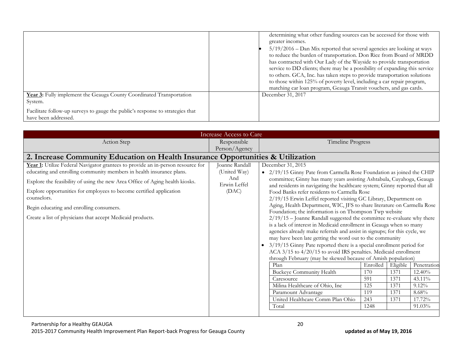|                                                                                                        | determining what other funding sources can be accessed for those with<br>greater incomes.<br>5/19/2016 - Dan Mix reported that several agencies are looking at ways<br>to reduce the burden of transportation. Don Rice from Board of MRDD<br>has contracted with Our Lady of the Wayside to provide transportation<br>service to DD clients; there may be a possibility of expanding this service<br>to others. GCA, Inc. has taken steps to provide transportation solutions<br>to those within 125% of poverty level, including a car repair program,<br>matching car loan program, Geauga Transit vouchers, and gas cards. |
|--------------------------------------------------------------------------------------------------------|--------------------------------------------------------------------------------------------------------------------------------------------------------------------------------------------------------------------------------------------------------------------------------------------------------------------------------------------------------------------------------------------------------------------------------------------------------------------------------------------------------------------------------------------------------------------------------------------------------------------------------|
| Year 3: Fully implement the Geauga County Coordinated Transportation<br>System.                        | December 31, 2017                                                                                                                                                                                                                                                                                                                                                                                                                                                                                                                                                                                                              |
| Facilitate follow-up surveys to gauge the public's response to strategies that<br>have been addressed. |                                                                                                                                                                                                                                                                                                                                                                                                                                                                                                                                                                                                                                |

| <b>Increase Access to Care</b>                                                                                                                                                                                                                                                                                                                                                                                                          |                                                                |                                                                                                                                                                                                                                                                                                                                                                                                                                                                                                                                                                                                                                                                                                                                                                                                                                                                                                                                                                                                                                                                                                                                                                               |                                                     |                                                  |                                                                             |
|-----------------------------------------------------------------------------------------------------------------------------------------------------------------------------------------------------------------------------------------------------------------------------------------------------------------------------------------------------------------------------------------------------------------------------------------|----------------------------------------------------------------|-------------------------------------------------------------------------------------------------------------------------------------------------------------------------------------------------------------------------------------------------------------------------------------------------------------------------------------------------------------------------------------------------------------------------------------------------------------------------------------------------------------------------------------------------------------------------------------------------------------------------------------------------------------------------------------------------------------------------------------------------------------------------------------------------------------------------------------------------------------------------------------------------------------------------------------------------------------------------------------------------------------------------------------------------------------------------------------------------------------------------------------------------------------------------------|-----------------------------------------------------|--------------------------------------------------|-----------------------------------------------------------------------------|
| Action Step                                                                                                                                                                                                                                                                                                                                                                                                                             | Responsible                                                    | Timeline Progress                                                                                                                                                                                                                                                                                                                                                                                                                                                                                                                                                                                                                                                                                                                                                                                                                                                                                                                                                                                                                                                                                                                                                             |                                                     |                                                  |                                                                             |
|                                                                                                                                                                                                                                                                                                                                                                                                                                         | Person/Agency                                                  |                                                                                                                                                                                                                                                                                                                                                                                                                                                                                                                                                                                                                                                                                                                                                                                                                                                                                                                                                                                                                                                                                                                                                                               |                                                     |                                                  |                                                                             |
| 2. Increase Community Education on Health Insurance Opportunities & Utilization                                                                                                                                                                                                                                                                                                                                                         |                                                                |                                                                                                                                                                                                                                                                                                                                                                                                                                                                                                                                                                                                                                                                                                                                                                                                                                                                                                                                                                                                                                                                                                                                                                               |                                                     |                                                  |                                                                             |
| Year 1: Utilize Federal Navigator grantees to provide an in-person resource for<br>educating and enrolling community members in health insurance plans.<br>Explore the feasibility of using the new Area Office of Aging health kiosks.<br>Explore opportunities for employees to become certified application<br>counselors.<br>Begin educating and enrolling consumers.<br>Create a list of physicians that accept Medicaid products. | Joanne Randall<br>(United Way)<br>And<br>Erwin Leffel<br>(DAC) | December 31, 2015<br>• 2/19/15 Ginny Pate from Carmella Rose Foundation as joined the CHIP<br>committee; Ginny has many years assisting Ashtabula, Cuyahoga, Geauga<br>and residents in navigating the healthcare system; Ginny reported that all<br>Food Banks refer residents to Carmella Rose<br>2/19/15 Erwin Leffel reported visiting GC Library, Department on<br>Aging, Health Department, WIC, JFS to share literature on Carmella Rose<br>Foundation; the information is on Thompson Twp website<br>2/19/15 - Joanne Randall suggested the committee re-evaluate why there<br>is a lack of interest in Medicaid enrollment in Geauga when so many<br>agencies already make referrals and assist in signups; for this cycle, we<br>may have been late getting the word out to the community<br>3/19/15 Ginny Pate reported there is a special enrollment period for<br>ACA 3/15 to 4/20/15 to avoid IRS penalties. Medicaid enrollment<br>through February (may be skewed because of Amish population)<br>Plan<br><b>Buckeye Community Health</b><br>Caresource<br>Milina Healthcare of Ohio, Inc<br>Paramount Advantage<br>United Healthcare Comm Plan Ohio<br>Total | Enrolled<br>170<br>591<br>125<br>119<br>243<br>1248 | Eligible<br>1371<br>1371<br>1371<br>1371<br>1371 | Penetration<br>$12.40\%$<br>43.11%<br>$9.12\%$<br>8.68%<br>17.72%<br>91.03% |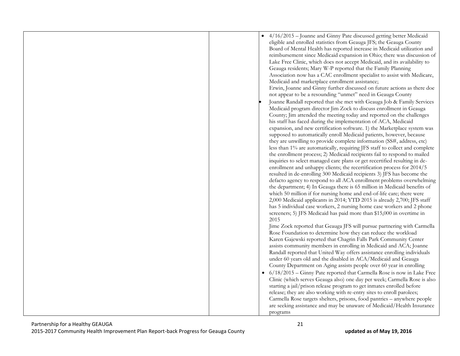| 4/16/2015 - Joanne and Ginny Pate discussed getting better Medicaid<br>eligible and enrolled statistics from Geauga JFS; the Geauga County<br>Board of Mental Health has reported increase in Medicaid utilization and<br>reimbursement since Medicaid expansion in Ohio; there was discussion of<br>Lake Free Clinic, which does not accept Medicaid, and its availability to<br>Geauga residents; Mary W-P reported that the Family Planning<br>Association now has a CAC enrollment specialist to assist with Medicare,<br>Medicaid and marketplace enrollment assistance;<br>Erwin, Joanne and Ginny further discussed on future actions as there doe<br>not appear to be a resounding "unmet" need in Geauga County<br>Joanne Randall reported that she met with Geauga Job & Family Services<br>Medicaid program director Jim Zock to discuss enrollment in Geauga<br>County; Jim attended the meeting today and reported on the challenges<br>his staff has faced during the implementation of ACA, Medicaid<br>expansion, and new certification software. 1) the Marketplace system was<br>supposed to automatically enroll Medicaid patients, however, because<br>they are unwilling to provide complete information (SS#, address, etc)<br>less than 1% are automatically, requiring JFS staff to collect and complete<br>the enrollment process; 2) Medicaid recipients fail to respond to mailed<br>inquiries to select managed care plans or get recertified resulting in de-<br>enrollment and unhappy clients; the recertification process for 2014/5<br>resulted in de-enrolling 300 Medicaid recipients 3) JFS has become the<br>defacto agency to respond to all ACA enrollment problems overwhelming<br>the department; 4) In Geauga there is 65 million in Medicaid benefits of<br>which 50 million if for nursing home and end-of-life care; there were<br>2,000 Medicaid applicants in 2014; YTD 2015 is already 2,700; JFS staff<br>has 5 individual case workers, 2 nursing home case workers and 2 phone<br>screeners; 5) JFS Medicaid has paid more than \$15,000 in overtime in<br>2015<br>Jime Zock reported that Geauga JFS will pursue partnering with Carmella<br>Rose Foundation to determine how they can reduce the workload<br>Karen Gajewski reported that Chagrin Falls Park Community Center<br>assists community members in enrolling in Medicaid and ACA; Joanne<br>Randall reported that United Way offers assistance enrolling individuals<br>under 60 years old and the disabled in ACA/Medicaid and Geauga<br>County Department on Aging assists people over 60 year in enrolling<br>• 6/18/2015 – Ginny Pate reported that Carmella Rose is now in Lake Free<br>Clinic (which serves Geauga also) one day per week; Carmella Rose is also<br>starting a jail/prison release program to get inmates enrolled before<br>release; they are also working with re-entry sites to enroll parolees;<br>Carmella Rose targets shelters, prisons, food pantries - anywhere people<br>are seeking assistance and may be unaware of Medicaid/Health Insurance<br>programs |
|-------------------------------------------------------------------------------------------------------------------------------------------------------------------------------------------------------------------------------------------------------------------------------------------------------------------------------------------------------------------------------------------------------------------------------------------------------------------------------------------------------------------------------------------------------------------------------------------------------------------------------------------------------------------------------------------------------------------------------------------------------------------------------------------------------------------------------------------------------------------------------------------------------------------------------------------------------------------------------------------------------------------------------------------------------------------------------------------------------------------------------------------------------------------------------------------------------------------------------------------------------------------------------------------------------------------------------------------------------------------------------------------------------------------------------------------------------------------------------------------------------------------------------------------------------------------------------------------------------------------------------------------------------------------------------------------------------------------------------------------------------------------------------------------------------------------------------------------------------------------------------------------------------------------------------------------------------------------------------------------------------------------------------------------------------------------------------------------------------------------------------------------------------------------------------------------------------------------------------------------------------------------------------------------------------------------------------------------------------------------------------------------------------------------------------------------------------------------------------------------------------------------------------------------------------------------------------------------------------------------------------------------------------------------------------------------------------------------------------------------------------------------------------------------------------------------------------------------------------------------------------------------------------------------------------------------------------------------------------------------------------------------------------------------------------------------------------------------------------------|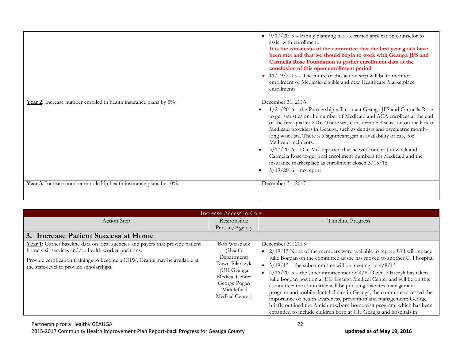|                                                                   | $\bullet$ 9/17/2015 – Family planning has a certified application counselor to<br>assist with enrollment.<br>It is the consensus of the committee that the first year goals have<br>been met and that we should begin to work with Geauga JFS and<br>Carmella Rose Foundation to gather enrollment data at the<br>conclusion of this open enrollment period<br>$11/19/2015$ – The future of this action step will be to monitor<br>enrollment of Medicaid-eligible and new Healthcare Marketplace<br>enrollments                                                                                                                                             |
|-------------------------------------------------------------------|--------------------------------------------------------------------------------------------------------------------------------------------------------------------------------------------------------------------------------------------------------------------------------------------------------------------------------------------------------------------------------------------------------------------------------------------------------------------------------------------------------------------------------------------------------------------------------------------------------------------------------------------------------------|
| Year 2: Increase number enrolled in health insurance plans by 5%  | December 31, 2016<br>1/21/2016 – the Partnership will contact Geauga JFS and Carmella Rose<br>to get statistics on the number of Medicaid and ACA enrollees at the end<br>of the first quarter 2016. There was considerable discussion on the lack of<br>Medicaid providers in Geauga, such as dentists and psychiatric month-<br>long wait lists. There is a significant gap in availability of care for<br>Medicaid recipients.<br>$3/17/2016$ – Dan Mix reported that he will contact Jim Zock and<br>Carmella Rose to get final enrollment numbers for Medicaid and the<br>insurance marketplace as enrollment closed 3/15/16<br>$5/19/2016$ – no report |
| Year 3: Increase number enrolled in health insurance plans by 10% | December 31, 2017                                                                                                                                                                                                                                                                                                                                                                                                                                                                                                                                                                                                                                            |

| Increase Access to Care                                                                                                                                                                                                                                          |                                                                                                                                                    |                                                                                                                                                                                                                                                                                                                                                                                                                                                                                                                                                                                                                                                                                                                                                      |  |
|------------------------------------------------------------------------------------------------------------------------------------------------------------------------------------------------------------------------------------------------------------------|----------------------------------------------------------------------------------------------------------------------------------------------------|------------------------------------------------------------------------------------------------------------------------------------------------------------------------------------------------------------------------------------------------------------------------------------------------------------------------------------------------------------------------------------------------------------------------------------------------------------------------------------------------------------------------------------------------------------------------------------------------------------------------------------------------------------------------------------------------------------------------------------------------------|--|
| Action Step                                                                                                                                                                                                                                                      | Responsible                                                                                                                                        | Timeline Progress                                                                                                                                                                                                                                                                                                                                                                                                                                                                                                                                                                                                                                                                                                                                    |  |
|                                                                                                                                                                                                                                                                  | Person/Agency                                                                                                                                      |                                                                                                                                                                                                                                                                                                                                                                                                                                                                                                                                                                                                                                                                                                                                                      |  |
| 3. Increase Patient Success at Home                                                                                                                                                                                                                              |                                                                                                                                                    |                                                                                                                                                                                                                                                                                                                                                                                                                                                                                                                                                                                                                                                                                                                                                      |  |
| Year 1: Gather baseline data on local agencies and payers that provide patient<br>home visit services and/or health worker positions.<br>Provide certification trainings to become a CHW. Grants may be available at<br>the state-level to provide scholarships. | <b>Bob Weisdack</b><br>(Health<br>Department)<br>Dawn Pilarczyk<br>(UH Geauga<br>Medical Center<br>George Pogan<br>(Middlefield<br>Medical Center) | December 31, 2015<br>• $2/19/15$ None of the members were available to report; UH will replace<br>Julie Bogdan on the committee as she has moved to another UH hospital<br>• $3/19/15$ – the subcommittee will be meeting on $4/8/15$<br>• $4/16/2015$ – the subcommittee met on 4/8; Dawn Pilarczyk has taken<br>Julie Bogdan position at UG Geauga Medical Center and will be on this<br>committee; the committee will be pursuing diabetes management<br>program and mobile dental clinics in Geauga; the committee stressed the<br>importance of health awareness, prevention and management; George<br>briefly outlined the Amish newborn home visit program, which has been<br>expanded to include children born at UH Geauga and hospitals in |  |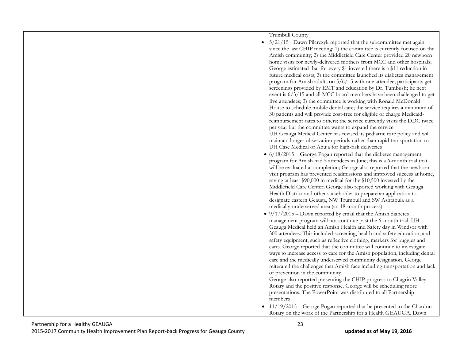|  | Trumbull County                                                                                                                      |
|--|--------------------------------------------------------------------------------------------------------------------------------------|
|  | 5/21/15 - Dawn Pilarczyk reported that the subcommittee met again                                                                    |
|  | since the last CHIP meeting; 1) the committee is currently focused on the                                                            |
|  | Amish community; 2) the Middlefield Care Center provided 20 newborn                                                                  |
|  | home visits for newly-delivered mothers from MCC and other hospitals;                                                                |
|  | George estimated that for every \$1 invested there is a \$11 reduction in                                                            |
|  | future medical costs; 3) the committee launched its diabetes management                                                              |
|  | program for Amish adults on 5/6/15 with one attendee; participants get                                                               |
|  | screenings provided by EMT and education by Dr. Tumbush; he next                                                                     |
|  | event is $6/3/15$ and all MCC board members have been challenged to get                                                              |
|  | five attendees; 3) the committee is working with Ronald McDonald                                                                     |
|  | House to schedule mobile dental care; the service requires a minimum of                                                              |
|  | 30 patients and will provide cost-free for eligible or charge Medicaid-                                                              |
|  | reimbursement rates to others; the service currently visits the DDC twice                                                            |
|  | per year but the committee wants to expand the service                                                                               |
|  | UH Geauga Medical Center has revised its pediatric care policy and will                                                              |
|  | maintain longer observation periods rather than rapid transportation to                                                              |
|  | UH Case Medical or Ahuja for high-risk deliveries                                                                                    |
|  | $\bullet$ 6/18/2015 – George Pogan reported that the diabetes management                                                             |
|  | program for Amish had 5 attendees in June; this is a 6-month trial that                                                              |
|  | will be evaluated at completion; George also reported that the newborn                                                               |
|  | visit program has prevented readmissions and improved success at home,                                                               |
|  | saving at least \$90,000 in medical for the \$10,500 invested by the                                                                 |
|  | Middlefield Care Center; George also reported working with Geauga                                                                    |
|  | Health District and other stakeholder to prepare an application to                                                                   |
|  | designate eastern Geauga, NW Trumbull and SW Ashtabula as a                                                                          |
|  | medically-underserved area (an 18-month process)                                                                                     |
|  | • $9/17/2015$ – Dawn reported by email that the Amish diabetes                                                                       |
|  | management program will not continue past the 6-month trial. UH                                                                      |
|  | Geauga Medical held an Amish Health and Safety day in Windsor with                                                                   |
|  | 300 attendees. This included screening, health and safety education, and                                                             |
|  | safety equipment, such as reflective clothing, markers for buggies and                                                               |
|  | carts. George reported that the committee will continue to investigate                                                               |
|  | ways to increase access to care for the Amish population, including dental                                                           |
|  | care and the medically underserved community designation. George                                                                     |
|  | reiterated the challenges that Amish face including transportation and lack                                                          |
|  | of prevention in the community.                                                                                                      |
|  | George also reported presenting the CHIP progress to Chagrin Valley                                                                  |
|  | Rotary and the positive response. George will be scheduling more<br>presentations. The PowerPoint was distributed to all Partnership |
|  | members                                                                                                                              |
|  |                                                                                                                                      |
|  | • 11/19/2015 - George Pogan reported that he presented to the Chardon                                                                |
|  | Rotary on the work of the Partnership for a Health GEAUGA. Dawn                                                                      |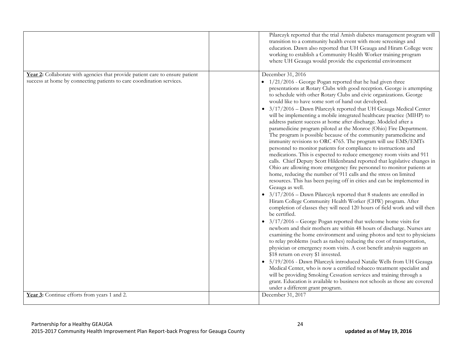|                                                                                                                                                        | Pilarczyk reported that the trial Amish diabetes management program will<br>transition to a community health event with more screenings and<br>education. Dawn also reported that UH Geauga and Hiram College were<br>working to establish a Community Health Worker training program<br>where UH Geauga would provide the experiential environment                                                                                                                                                                                                                                                                                                                                                                                                                                                                                                                                                                                                                                   |
|--------------------------------------------------------------------------------------------------------------------------------------------------------|---------------------------------------------------------------------------------------------------------------------------------------------------------------------------------------------------------------------------------------------------------------------------------------------------------------------------------------------------------------------------------------------------------------------------------------------------------------------------------------------------------------------------------------------------------------------------------------------------------------------------------------------------------------------------------------------------------------------------------------------------------------------------------------------------------------------------------------------------------------------------------------------------------------------------------------------------------------------------------------|
| Year 2: Collaborate with agencies that provide patient care to ensure patient<br>success at home by connecting patients to care coordination services. | December 31, 2016<br>• 1/21/2016 - George Pogan reported that he had given three<br>presentations at Rotary Clubs with good reception. George is attempting                                                                                                                                                                                                                                                                                                                                                                                                                                                                                                                                                                                                                                                                                                                                                                                                                           |
|                                                                                                                                                        | to schedule with other Rotary Clubs and civic organizations. George<br>would like to have some sort of hand out developed.                                                                                                                                                                                                                                                                                                                                                                                                                                                                                                                                                                                                                                                                                                                                                                                                                                                            |
|                                                                                                                                                        | • 3/17/2016 - Dawn Pilarczyk reported that UH Geauga Medical Center<br>will be implementing a mobile integrated healthcare practice (MIHP) to<br>address patient success at home after discharge. Modeled after a<br>paramedicine program piloted at the Monroe (Ohio) Fire Department.<br>The program is possible because of the community paramedicine and<br>immunity revisions to ORC 4765. The program will use EMS/EMTs<br>personnel to monitor patients for compliance to instructions and<br>medications. This is expected to reduce emergency room visits and 911<br>calls. Chief Deputy Scott Hildenbrand reported that legislative changes in<br>Ohio are allowing more emergency fire personnel to monitor patients at<br>home, reducing the number of 911 calls and the stress on limited<br>resources. This has been paying off in cities and can be implemented in<br>Geauga as well.<br>$\bullet$ 3/17/2016 - Dawn Pilarczyk reported that 8 students are enrolled in |
|                                                                                                                                                        | Hiram College Community Health Worker (CHW) program. After<br>completion of classes they will need 120 hours of field work and will then<br>be certified.                                                                                                                                                                                                                                                                                                                                                                                                                                                                                                                                                                                                                                                                                                                                                                                                                             |
|                                                                                                                                                        | • $3/17/2016$ – George Pogan reported that welcome home visits for<br>newborn and their mothers are within 48 hours of discharge. Nurses are<br>examining the home environment and using photos and text to physicians<br>to relay problems (such as rashes) reducing the cost of transportation,<br>physician or emergency room visits. A cost benefit analysis suggests an<br>\$18 return on every \$1 invested.                                                                                                                                                                                                                                                                                                                                                                                                                                                                                                                                                                    |
|                                                                                                                                                        | · 5/19/2016 - Dawn Pilarczyk introduced Natalie Wells from UH Geauga<br>Medical Center, who is now a certified tobacco treatment specialist and<br>will be providing Smoking Cessation services and training through a<br>grant. Education is available to business not schools as those are covered<br>under a different grant program.                                                                                                                                                                                                                                                                                                                                                                                                                                                                                                                                                                                                                                              |
| Year 3: Continue efforts from years 1 and 2.                                                                                                           | December 31, 2017                                                                                                                                                                                                                                                                                                                                                                                                                                                                                                                                                                                                                                                                                                                                                                                                                                                                                                                                                                     |